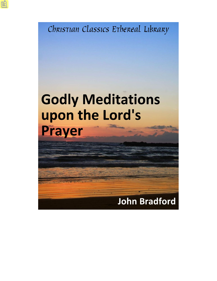Christian Classics Ethereal Library

# **Godly Meditations** upon the Lord's Prayer

## **John Bradford**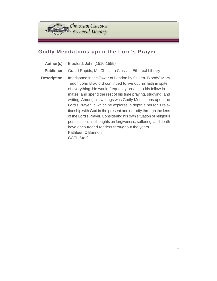

### **Godly Meditations upon the Lord's Prayer**

**Author(s):** Bradford, John (1510-1555) **Publisher:** Grand Rapids, MI: Christian Classics Ethereal Library **Description:** Imprisoned in the Tower of London by Queen "Bloody" Mary Tudor, John Bradford continued to live out his faith in spite of everything. He would frequently preach to his fellow inmates, and spend the rest of his time praying, studying, and writing. Among his writings was Godly Meditations upon the Lord's Prayer, in which he explores in depth a person's relationship with God in the present and eternity through the lens of the Lord's Prayer. Considering his own situation of religious persecution, his thoughts on forgiveness, suffering, and death have encouraged readers throughout the years. Kathleen O'Bannon CCEL Staff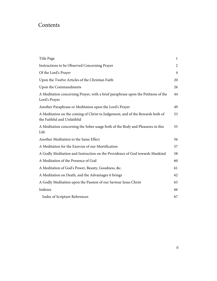## Contents

| Title Page                                                                                                   | 1                |
|--------------------------------------------------------------------------------------------------------------|------------------|
| Instructions to be Observed Concerning Prayer                                                                | $\boldsymbol{2}$ |
| Of the Lord's Prayer                                                                                         | $\overline{4}$   |
| Upon the Twelve Articles of the Christian Faith                                                              | 20               |
| Upon the Commandments                                                                                        | 26               |
| A Meditation concerning Prayer, with a brief paraphrase upon the Petitions of the<br>Lord's Prayer           | 44               |
| Another Paraphrase or Meditation upon the Lord's Prayer                                                      | 49               |
| A Meditation on the coming of Christ to Judgement, and of the Rewards both of<br>the Faithful and Unfaithful | 53               |
| A Meditation concerning the Sober usage both of the Body and Pleasures in this<br>Life                       | 55               |
| Another Meditation to the Same Effect                                                                        | 56               |
| A Meditation for the Exercise of our Mortification                                                           | 57               |
| A Godly Meditation and Instruction on the Providence of God towards Mankind                                  | 58               |
| A Meditation of the Presence of God                                                                          | 60               |
| A Meditation of God's Power, Beauty, Goodness, &c.                                                           | 61               |
| A Meditation on Death, and the Advantages it brings                                                          | 62               |
| A Godly Meditation upon the Passion of our Saviour Jesus Christ                                              | 63               |
| Indexes                                                                                                      | 66               |
| Index of Scripture References                                                                                | 67               |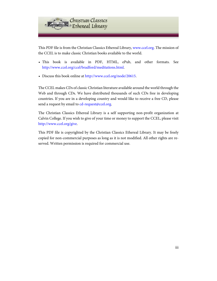

This PDF file is from the Christian Classics Ethereal Library, [www.ccel.org.](http://www.ccel.org) The mission of the CCEL is to make classic Christian books available to the world.

- This book is available in PDF, HTML, ePub, and other formats. See <http://www.ccel.org/ccel/bradford/meditations.html>.
- Discuss this book online at [http://www.ccel.org/node/20615.](http://www.ccel.org/node/20615)

The CCEL makes CDs of classic Christian literature available around the world through the Web and through CDs. We have distributed thousands of such CDs free in developing countries. If you are in a developing country and would like to receive a free CD, please send a request by email to [cd-request@ccel.org.](mailto:cd-request@ccel.org)

The Christian Classics Ethereal Library is a self supporting non-profit organization at Calvin College. If you wish to give of your time or money to support the CCEL, please visit [http://www.ccel.org/give.](http://www.ccel.org/give)

This PDF file is copyrighted by the Christian Classics Ethereal Library. It may be freely copied for non-commercial purposes as long as it is not modified. All other rights are reserved. Written permission is required for commercial use.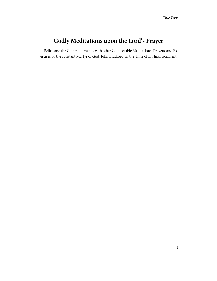## <span id="page-4-0"></span>**Godly Meditations upon the Lord's Prayer**

the Belief, and the Commandments, with other Comfortable Meditations, Prayers, and Exercises by the constant Martyr of God, John Bradford, in the Time of his Imprisonment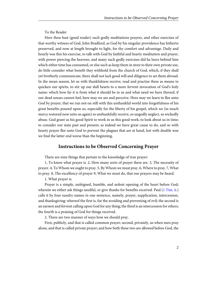To the Reader

<span id="page-5-0"></span>Here thou hast (good reader) such godly meditations prayers, and other exercises of that worthy witness of God, John Bradford, as God by his singular providence has hitherto preserved, and now at length brought to light, for thy comfort and advantage. Daily and hourly was this his exercise, to talk with God by faithful and hearty meditation and prayer, with power piercing the heavens, and many such godly exercises did he leave behind him which either time has consumed, or else such as keep them in store to their own private use, do little consider what benefit they withhold from the church of God, which, if they shall yet brotherly communicate, there shall not lack good will and diligence to set them abroad. In the mean season, let us with thankfulness receive, read and practise these as means to quicken our spirits, to stir up our dull hearts to a more fervent invocation of God's holy name: which how far it is from what it should be in us and what need we have thereof, if our dead senses cannot feel, here may we see and perceive. Here may we learn to flee unto God by prayer, that we run not on still with this unthankful world into forgetfulness of his great benefits poured upon us, especially for the liberty of his gospel, which we (in much mercy restored now unto us again) so unthankfully receive, so ungodly neglect, so wickedly abuse. God grant us his good Spirit to work in us this good work; to look about us in time; to consider our state past and present, as indeed we have great cause to do, and so with hearty prayer flee unto God to prevent the plagues that are at hand, lest with double woe we find the latter end worse than the beginning.

#### **Instructions to be Observed Concerning Prayer**

There are nine things that pertain to the knowledge of true prayer:

1, To know what prayer is. 2, How many sorts of prayer there are. 3, The necessity of prayer. 4, To Whom we ought to pray. 5, By Whom we must pray. 6, Where to pray. 7, What to pray. 8, The excellency of prayer 9, What we must do, that our prayers may be heard.

1. What prayer is.

Prayer is a simple, unfeigned, humble, and ardent opening of the heart before God; wherein we either ask things needful, or give thanks for benefits received. Paul [\(1 Tim. ii.](http://www.ccel.org/study/Bible:1Tim.2)) calls it by four sundry names in one sentence, namely, prayer, supplication, intercession, and thanksgiving: whereof the first is, for the avoiding and preventing of evil; the second is an earnest and fervent calling upon God for any thing; the third is an intercession for others; the fourth is a praising of God for things received.

2. There are two manner of ways how we should pray.

First, publicly, and that is called common prayer; second, privately, us when men pray alone, and that is called private prayer; and how both these two are allowed before God, the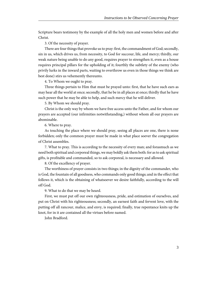Scripture bears testimony by the example of all the holy men and women before and after Christ.

3. Of the necessity of prayer.

There are four things that provoke us to pray: first, the commandment of God; secondly, sin in us, which drives us, from necessity, to God for succour, life, and mercy; thirdly, our weak nature being unable to do any good, requires prayer to strengthen it, even as a house requires principal pillars for the upholding of it; fourthly the subtlety of the enemy (who privily lurks in the inward parts, waiting to overthrow us even in those things we think are best done) stirs us vehemently thereunto.

4. To Whom we ought to pray.

Three things pertain to Him that must be prayed unto: first, that he have such ears as may hear all the world at once; secondly, that he be in all places at once; thirdly that he have such power that he may be able to help, and such mercy that he will deliver.

5. By Whom we should pray.

Christ is the only way by whom we have free access unto the Father, and for whom our prayers are accepted (our infirmities notwithstanding,) without whom all our prayers are abominable.

6. Where to pray.

As touching the place where we should pray, seeing all places are one, there is none forbidden; only the common prayer must be made in what place soever the congregation of Christ assembles.

7. What to pray. This is according to the necessity of every man; and forasmuch as we need both spiritual and corporeal things, we may boldly ask them both: for as to ask spiritual gifts, is profitable and commanded, so to ask corporeal, is necessary and allowed.

8. Of the excellency of prayer.

The worthiness of prayer consists in two things; in the dignity of the commander, who is God, the fountain of all goodness, who commands only good things; and in the effect that follows it, which is the obtaining of whatsoever we desire faithfully, according to the will off God.

9. What to do that we may be heard.

First, we must put off our own righteousness, pride, and estimation of ourselves, and put on Christ with his righteousness; secondly, an earnest faith and fervent love, with the putting off all rancour, malice, and envy, is required; finally, true repentance knits up the knot, for in it are contained all the virtues before named.

John Bradford.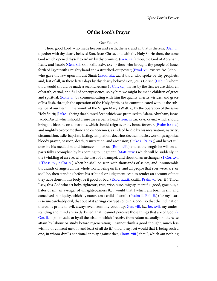#### **Of the Lord's Prayer**

#### Our Father.

<span id="page-7-0"></span>Thou, good Lord, who made heaven and earth, the sea, and all that is therein, [\(Gen. i.](http://www.ccel.org/study/Bible:Gen.1)) together with thy dearly beloved Son, Jesus Christ, and with thy Holy Spirit: thou, the same God which opened thyself to Adam by thy promise; ([Gen. iii.](http://www.ccel.org/study/Bible:Gen.3) :) thou, the God of Abraham, Isaac, and Jacob; ([Gen. xii.](http://www.ccel.org/study/Bible:Gen.12) xxii. xxiii. xxiv. xxv. :) thou who brought thy people of Israel forth of Egypt with a mighty hand and a stretched-out power; [\(Exod. xiii.](http://www.ccel.org/study/Bible:Exod.13) xiv. xv. &c. :) thou, who gave thy law upon mount Sinai;  $(Exod. xix. xx. :)$  $(Exod. xix. xx. :)$  thou, who spoke by thy prophets, and, last of all, in these latter days by thy dearly beloved Son, Jesus Christ, [\(Heb. i.\)](http://www.ccel.org/study/Bible:Heb.1) whom thou would should be made a second Adam; [\(1 Cor. xv.\)](http://www.ccel.org/study/Bible:1Cor.15) that as by the first we are children of wrath, carnal, and full of concupiscence, so by him we might be made children of grace and spiritual; ([Rom. v.\)](http://www.ccel.org/study/Bible:Rom.5) by communicating with him the quality, merits, virtues, and grace of his flesh, through the operation of the Holy Spirit, as he communicated with us the substance of our flesh in the womb of the Virgin Mary, (Watt. i.) by the operation of the same Holy Spirit; [\(Luke i.](http://www.ccel.org/study/Bible:Luke.1)) being that blessed Seed which was promised to Adam, Abraham, Isaac, Jacob, David, which should bruise the serpent's head, [\(Gen. iii.](http://www.ccel.org/study/Bible:Gen.3) xii. xxvi. xxviii.) which should bring the blessing on all nations, which should reign over thy house for ever, [\(Psalm lxxxix.](http://www.ccel.org/study/Bible:Ps.89)) and mightily overcome thine and our enemies; as indeed he did by his incarnation, nativity, circumcision, exile, baptism, fasting, temptation, doctrine, deeds, miracles, workings, agonies, bloody prayer, passion, death, resurrection, and ascension; ([Luke i.](http://www.ccel.org/study/Bible:Luke.1), [Ps. cx.](http://www.ccel.org/study/Bible:Ps.110);) and he yet still does by his mediation and intercession for us; ([Rom. viii.\)](http://www.ccel.org/study/Bible:Rom.8) and at the length he will on all parts fully accomplish by his coming to judgment; [\(Matt. xxiv.\)](http://www.ccel.org/study/Bible:Matt.24) which will be suddenly, in the twinkling of an eye, with the blast of a trumpet, and shout of an archangel; ([1 Cor. xv.,](http://www.ccel.org/study/Bible:1Cor.15) [1 Thess. iv.](http://www.ccel.org/study/Bible:1Thess.4), [2 Cor. v.\)](http://www.ccel.org/study/Bible:2Cor.5) when he shall be seen with thousands of saints, and innumerable thousands of angels all the whole world being on fire, and all people that ever were, are, or shall be, then standing before his tribunal or judgement-seat, to render an account of that they have done in this body, be it good or bad. ([Exod. xxxii.](http://www.ccel.org/study/Bible:Exod.32) xxxiii., [Psalm v.](http://www.ccel.org/study/Bible:Ps.5), Joel, ii) Thou, I say, this God who art holy, righteous, true, wise, pure, mighty, merciful, good, gracious, a hater of sin, an avenger of unrighteousness &c., would that I which am born in sin, and conceived in iniquity, which by nature am a child of wrath, [\(Psalm li.](http://www.ccel.org/study/Bible:Ps.51), [Eph. ii.\)](http://www.ccel.org/study/Bible:Eph.2) (for my heart is so unsearchably evil, that out of it springs corrupt concupiscence, so that the inclination thereof is prone to evil, always even from my youth up; [Gen. viii.](http://www.ccel.org/study/Bible:Gen.8) ix., [Jer. xvii.](http://www.ccel.org/study/Bible:Jer.17) my understanding and mind are so darkened, that I cannot perceive those things that are of God, ([2](http://www.ccel.org/study/Bible:2Cor.2) [Cor. ii.](http://www.ccel.org/study/Bible:2Cor.2) iii.) of myself, or by all the wisdom which I receive from Adam naturally or otherwise attain by labour or study before regeneration; I cannot think a good thought, much less wish it, or consent unto it, and least of all do it,) thou, I say, yet would that I, being such a one, in whom dwells continual enmity against thee; [\(Rom. viii.\)](http://www.ccel.org/study/Bible:Rom.8) that I, which am nothing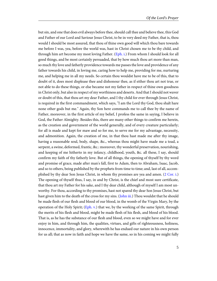but sin, and one that does evil always before thee, should call thee and believe thee, this God and Father of our Lord and Saviour Jesus Christ, to be in very deed my Father, that is, thou would I should be most assured, that thou of thine own good will which thou bare towards me before I was, yea, before the world was, hast in Christ chosen me to be thy child, and through him art become my most loving Father. ([Eph. i.](http://www.ccel.org/study/Bible:Eph.1)) From whom I should look for all good things, and be most certainly persuaded, that by how much thou art more than man, so much thy love and fatherly providence towards me passes the love and providence of any father towards his child, in loving me, caring how to help me, providing for me, nurturing me, and helping me in all my needs. So certain thou wouldst have me to be of this, that to doubt of it, does most displease thee and dishonour thee, as if either thou art not true, or not able to do these things, or else became not my father in respect of thine own goodness in Christ only, but also in respect of my worthiness and deserts. And that I should not waver or doubt of this, that thou art my dear Father, and I thy child for ever through Jesus Christ, is required in the first commandment, which says, "I am the Lord thy God, thou shalt hare none other gods but me." Again, thy Son here commands me to call thee by the name of Father, moreover, in the first article of my belief, I profess the same in saying, I believe in God, the Father Almighty. Besides this, there are many other things to confirm me herein, as the creation and government of the world generally, and of every creature particularly; for all is made and kept for maw and so for me, to serve me for my advantage, necessity, and admonition. Again, the creation of me, in that thou hast made me after thy image, having a reasonable soul, body, shape, &c., whereas thou might have made me a toad, a serpent, a swine, deformed, frantic, &c.: moreover, thy wonderful preservation, nourishing, and keeping of me hitherto in my infancy, childhood, youth, &c. all these, I say, should confirm my faith of thy fatherly love. But of all things, the opening of thyself by thy word and promise of grace, made after man's fall, first to Adam, then to Abraham, Isaac, Jacob, and so to others, being published by the prophets from time to time; and, last of all, accomplished by thy dear Son Jesus Christ, in whom thy promises are yea and amen. [\(2 Cor. i.](http://www.ccel.org/study/Bible:2Cor.1)) The opening of thyself thus, I say, in and by Christ, is the chief and most sure certificate, that thou art my Father for his sake, and I thy dear child, although of myself I am most unworthy. For thou, according to thy promises, hast not spared thy dear Son Jesus Christ, but hast given him to the death of the cross for my sins. [\(John iii.](http://www.ccel.org/study/Bible:John.3)) Thou wouldst that he should be made flesh of our flesh and blood of our blood, in the womb of the Virgin Mary, by the operation of the Holy Spirit; [\(Eph. v.\)](http://www.ccel.org/study/Bible:Eph.5) that we, by the working of the same Spirit, through the merits of his flesh and blood, might be made flesh of his flesh, and blood of his blood. That is, as he has the substance of our flesh and blood, even so we might have and for ever enjoy in him, and through him, the qualities, virtues, and gifts of righteousness, holiness, innocence, immortality, and glory, wherewith he has endued our nature in his own person for us all; that as now in faith and hope we have the same, so in his coming we might fully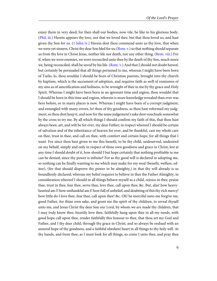enjoy them in very deed; for then shall our bodies, now vile, be like to his glorious body. ([Phil. iii.](http://www.ccel.org/study/Bible:Phil.3)) Herein appears thy love, not that we loved thee, but that thou loved us, and hast given thy Son for us.  $(1)$  John iv.) Herein dost thou commend unto us thy love, that when we were yet sinners, Christ thy dear Son bled for us;  $(Rom. v.)$  $(Rom. v.)$  so that nothing should separate us from thy love in Christ Jesus, neither life nor death, nor any other thing. ([Rom. viii.](http://www.ccel.org/study/Bible:Rom.8)) For if, when we were enemies, we were reconciled unto thee by the death of thy Son, much more we, being reconciled, shall be saved by his life. [\(Rom. v.](http://www.ccel.org/study/Bible:Rom.5)) And that I should not doubt hereof, but certainly be persuaded that all things pertained to me, whereas I might have been born of Turks, lo, thou wouldst I should be born of Christian parents, brought into thy church by baptism, which is the sacrament of adoption, and requires faith as well of remission of my sins as of sanctification and holiness, to be wrought of thee in me by thy grace and Holy Spirit. Whereas I might have been born in an ignorant time and region, thou wouldst that I should be born in this time and region, wherein is more knowledge revealed than ever was here before, or in many places is now. Whereas I might have been of a corrupt judgment, and entangled with many errors, lo! thou of thy goodness, as thou hast reformed my judgment, so thou dost keep it, and now for the same judgement's sake dost vouchsafe somewhat by the cross to try me. By all which things I should confirm my faith of this, that thou hast always been, art, and wilt be for ever, my dear Father; in respect whereof I should be certain of salvation and of the inheritance of heaven for ever, and be thankful, cast my whole care on thee, trust in thee, and call on thee, with comfort and certain hope, for all things that I want. For since thou hast given to me this benefit, to be thy child, undeserved, undesired on my behalf, simply and only in respect of thine own goodness and grace in Christ, lest at any time I should doubt of it, how should I but hope certainly that nothing profitable to me can be denied, since thy power is infinite? For as thy good will is declared in adopting me, so nothing can be finally wanting to me which may make for my weal (benefit, welfare, editor), (for that should disprove thy power to be almighty,) in that thy will already is so boundlessly declared; whereas my belief requires to believe in thee the Father Almighty, in consideration whereof I should in all things behave myself as a child, rejoice in thee, praise thee, trust in thee, fear thee, serve thee, love thee, call upon thee, &c. But, alas! how heavyhearted am I! how unthankful am I! how full of unbelief, and doubting of this thy rich mercy! how little do I love thee, fear thee, call upon thee! &c. Oh! be merciful unto me forgive me, good Father, for thine own sake, and grant me the spirit of thy children, to reveal thyself unto me, and Jesus Christ thy dear Son our Lord, by whom we are made thy children, that I may truly know thee, heartily love thee, faithfully hang upon thee in all my needs, with good hope call upon thee, render faithfully this honour to thee, that thou art my God and Father, and I thy dear child, through thy grace in Christ, and so always be endued with an assured hope of thy goodness, and a faithful obedient heart in all things to thy holy will. At thy hands, and from thee, as I must look for all things, so come I unto thee, and pray thee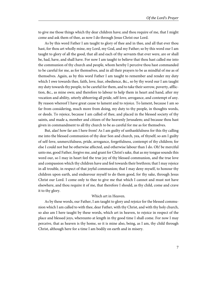to give me those things which thy dear children have; and thou require of me, that I might come and ask them of thee, as now I do through Jesus Christ our Lord.

As by this word Father I am taught to glory of thee and in thee, and all that ever thou hast, for thou art wholly mine, my Lord, my God, and my Father; so by this word our I am taught to glory of all the good, that all and each of thy servants that ever were, are or shall be, had, have, and shall have. For now I am taught to believe that thou hast called me into the communion of thy church and people, whom hereby I perceive thou hast commanded to be careful for me, as for themselves, and in all their prayers to be as mindful of me as of themselves. Again, as by this word Father I am taught to remember and render my duty which I owe towards thee, faith, love, fear, obedience, &c., so by thy word our I am taught my duty towards thy people, to be careful for them, and to take their sorrow, poverty, affliction, &c., as mine own; and therefore to labour to help them in heart and hand, after my vocation and ability, utterly abhorring all pride, self-love, arrogance, and contempt of any. By reason whereof I have great cause to lament and to rejoice. To lament, because I am so far from considering, much more from doing, my duty to thy people, in thoughts words, or deeds. To rejoice, because I am called of thee, and placed in the blessed society of thy saints, and made a, member and citizen of the heavenly Jerusalem; and because thou hast given in commandment to all thy church to be as careful for me as for themselves.

But, alas! how far am I here from! As I am guilty of unthankfulness for this thy calling me into the blessed communion of thy dear Son and church, yea, of thyself; so am I guilty of self-love, unmercifulness, pride, arrogance, forgetfulness, contempt of thy children; for else I could not but be otherwise affected, and otherwise labour than I do. Oh! be merciful unto me, good Father, forgive me, and grant for Christ's sake, that as my tongue sounds this word our, so I may in heart feel the true joy of thy blessed communion, and the true love and compassion which thy children have and feel towards their brethren; that I may rejoice in all trouble, in respect of that joyful communion; that I may deny myself, to honour thy children upon earth, and endeavour myself to do them good, for thy sake, through Jesus Christ our Lord. I come only to thee to give me that which I cannot and must not have elsewhere, and thou require it of me, that therefore I should, as thy child, come and crave it to thy glory.

#### Which art in Heaven.

As by these words, our Father, I am taught to glory and rejoice for the blessed communion which I am called to with thee, dear Father, with thy Christ, and with thy holy church, so also am I here taught by these words, which art in heaven, to rejoice in respect of the place and blessed joys, whereunto at length in thy good time I shall come. For now I may perceive, that as heaven is thy home, so it is mine also, being, as I am, thy child through Christ, although here for a time I am bodily on earth and in misery.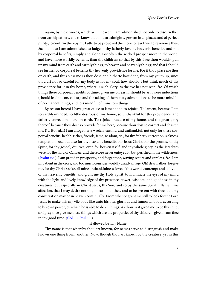Again, by these words, which art in heaven, I am admonished not only to discern thee from earthly fathers, and to know that thou art almighty, present in all places, and of perfect purity, to confirm thereby my faith, to be provoked the more to fear thee, to reverence thee, &c., but also I am admonished to judge of thy fatherly love by heavenly benefits, and not by corporeal benefits, simply and alone. For often the wicked prosper more in the world, and have more worldly benefits, than thy children; so that by this I see thou wouldst pull up my mind from earth and earthly things, to heaven and heavenly things; and that I should see further by corporeal benefits thy heavenly providence for me. For if thou place me thus on earth, and thus bless me as thou dost, and hitherto hast done, from my youth up, since thou art not so careful for my body as for my soul, how should I but think much of thy providence for it in thy home, where is such glory, as the eye has not seen, &c. Of which things these corporeal benefits of thine, given me on earth, should be as it were inductions (should lead me on, editor), and the taking of them away admonitions to he more mindful of permanent things, and less mindful of transitory things.

By reason hereof I have great cause to lament and to rejoice. To lament, because I am so earthly-minded, so little desirous of my home, so unthankful for thy providence, and fatherly corrections here on earth. To rejoice, because of my home, and the great glory thereof, because thou dost so provide for me here, because thou dost so correct and chasten me, &c. But, alas! I am altogether a wretch, earthly, and unthankful, not only for these corporeal benefits, health, riches, friends, fame, wisdom, tic., for thy fatherly correction, sickness, temptation, &c., but also for thy heavenly benefits, for Jesus Christ, for the promise of thy Spirit, for thy gospel, &c., yea, even for heaven itself, and thy whole glory, as the Israelites were for the land of Canaan, and therefore never enjoyed it, but perished in the wilderness. ([Psalm cvi.\)](http://www.ccel.org/study/Bible:Ps.106). I am proud in prosperity, and forget thee, waxing secure and careless, &c. I am impatient in the cross, and too much consider worldly disadvantage. Oh! dear Father, forgive me, for thy Christ's sake, all mine unthankfulness, love of this world, contempt and oblivion of thy heavenly benefits; and grant me thy Holy Spirit, to illuminate the eyes of my mind with the light and lively knowledge of thy presence, power, wisdom, and goodness in thy creatures, but especially in Christ Jesus, thy Son, and so by the same Spirit inflame mine affection, that I may desire nothing in earth but thee, and to be present with thee, that my conversation may be in heaven continually. From whence grant me still to look for the Lord Jesus, to make this my vile body like unto his own glorious and immortal body, according to his own power, by which he is able to do all things. As thou hast given me to be thy child, so I pray thee give me these things which are the properties of thy children, given from thee in thy good time. ([Col. iii.](http://www.ccel.org/study/Bible:Col.3) [Phil. iii.](http://www.ccel.org/study/Bible:Phil.3))

#### Hallowed be Thy Name.

Thy name is that whereby thou art known, for names serve to distinguish and make known one thing frown another. Now, though thou art known by thy creature, yet in this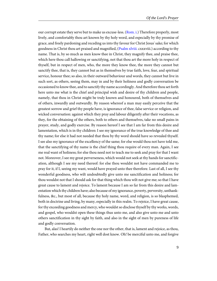our corrupt estate they serve but to make us excuse-less. [\(Rom. i.\)](http://www.ccel.org/study/Bible:Rom.1) Therefore properly, most lively, and comfortably thou art known by thy holy word, and especially by thy promise of grace, and freely pardoning and receding us into thy favour for Christ Jesus' sake; for which goodness in Christ thou art praised and magnified, ([Psalm xlviii.](http://www.ccel.org/study/Bible:Ps.48) cxxxviii.) according to thy name. That is, by so much as men know thee in Christ, they magnify thee, and praise thee, which here thou call hallowing or sanctifying, not that thou art the more holy in respect of thyself, but in respect of men, who, the more they know thee, the more they cannot but sanctify thee, that is, they cannot but as in themselves by true faith, love, fear, and spiritual service, honour thee; so also, in their outward behaviour and words, they cannot but live in such sort, as others, seeing them, may in and by their holiness and godly conversation be occasioned to know thee, and to sanctify thy name accordingly. And therefore thou set forth here unto me what is the chief and principal wish and desire of thy children and people, namely, that thou in Christ might be truly known and honoured, both of themselves and of others, inwardly and outwardly. By reason whereof a man may easily perceive that the greatest sorrow and grief thy people have, is ignorance of thee, false service or religion, and wicked conversation: against which they pray and labour diligently after their vocations, as they, for the obtaining of the others, both to others and themselves, take no small pains in prayer, study, and godly exercise. By reason hereof I see that I am far from this desire and lamentation, which is in thy children: I see my ignorance of the true knowledge of thee and thy name; for else it had not needed that thou by thy word should have so revealed thyself. I see also my ignorance of the excellency of the same; for else would thou not have told me, that the sanctifying of thy name is the chief thing thou require of every man. Again, I see me real want of holiness; for else thou need not to teach me to seek and pray for that I want not. Moreover, I see my great perverseness, which would not seek at thy hands for sanctification, although I see my need thereof: for else thou wouldst not have commanded me to pray for it, if I, seeing my want, would have prayed unto thee therefore. Last of all, I see thy wonderful goodness, who wilt undoubtedly give unto me sanctification and holiness; for thou wouldst not that I should ask for that thing which thou wilt not give me; so that I have great cause to lament and rejoice. To lament because I am so far from this desire and lamentation which thy children have; also because of my ignorance, poverty, perversity, unthankfulness, &c., but most of all, because thy holy name, word, and religion, is so blasphemed, both in doctrine and living, by many, especially in this realm. To rejoice, I have great cause, for thy exceeding goodness and mercy, who wouldst so disclose thyself by thy works, words, and gospel, who wouldst open these things thus unto me, and also give unto me and unto others sanctification in thy sight by faith, and also in the sight of men by pureness of life and godly conversation.

But, alas! I heartily do neither the one nor the other, that is, lament and rejoice, as thou, Father, who searches my heart, right well dost know. Oh! be merciful unto me, and forgive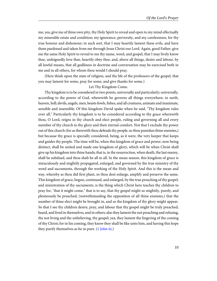me, yea, give me of thine own pity, thy Holy Spirit to reveal and open to my mind effectually my miserable estate and condition; my ignorance, perversity, and my carelessness, for thy true honour and dishonour; in such sort, that I may heartily lament these evils, and have them pardoned and taken from me through Jesus Christ our Lord. Again, good Father, give me the same Holy Spirit to reveal to me thy name, word, and gospel, that I may lively know thee, unfeignedly love thee, heartily obey thee, and, above all things, desire and labour, by all lawful means, that all godliness in doctrine and conversation may be exercised both in me and in all others, for whom thou would I should pray.

(Here think upon the state of religion, and the life of the professors of the gospel, that you may lament for some, pray for some, and give thanks for some.)

#### Let Thy Kingdom Come.

Thy kingdom is to be considered in two points, universally and particularly; universally, according to the power of God, wherewith he governs all things everywhere; in earth, heaven, hell; devils, angels, men, beasts fowls, fishes, and all creatures, animate and inanimate, sensible and insensible. Of this kingdom David spake when he said, "Thy kingdom rules over all." Particularly thy kingdom is to be considered according to thy grace wherewith thou, O Lord, reigns in thy church and elect people, ruling and governing all and every member of thy church to thy glory and their eternal comfort. Not that I exclude thy power out of this church (for as therewith thou defends thy people, so thou punishes thine enemies,) but because thy grace is specially considered, being, as it were, the very keeper that keeps and guides thy people. The time will be, when this kingdom of grace and power, now being distinct, shall be united and made one kingdom of glory, which will be when Christ shall give up his kingdom into thine hands; that is, in the resurrection, when death, the last enemy, shall be subdued, and thou shalt be all in all. In the mean season, this kingdom of grace is miraculously and mightily propagated, enlarged, and governed by the true ministry of thy word and sacraments, through the working of the Holy Spirit. And this is the mean and way, whereby as thou did first plant, so thou dost enlarge, amplify and preserve the same. This kingdom of grace, begun, continued, and enlarged, by the true preaching of thy gospel, and ministration of thy sacraments, is the thing which Christ here teaches thy children to pray for, "that it might come," that is to say, that thy gospel might so mightily, purely, and plenteously be preached; (notwithstanding the opposition of all thine enemies,) that the number of thine elect might be brought in, and so the kingdom of thy glory might appear. So that I see thy children desire, pray, and labour that thy gospel might be truly preached, heard, and lived in themselves, and in others; also they lament the not preaching and refusing, the not living and the unbelieving, thy gospel; yea, they lament the lingering of the coming of thy Christ; for in his coming, they know they shall be like unto him, and having this hope they purify themselves as he in pure. ([1 John iii.](http://www.ccel.org/study/Bible:1John.3))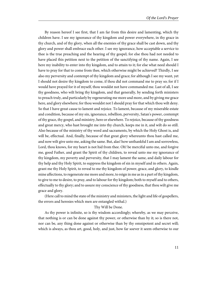By reason hereof I see first, that I am far from this desire and lamenting, which thy children have. I see my ignorance of thy kingdom and power everywhere, in thy grace in thy church, and of thy glory, when all the enemies of thy grace shall be cast down, and thy glory and power shall embrace each other. I see my ignorance, how acceptable a service to thee is the true preaching and the hearing of thy gospel; for else thou had not needed to have placed this petition next to the petition of the sanctifying of thy name. Again, I see here my inability to enter into thy kingdom, and to attain to it; for else what need should I have to pray for that to come from thee, which otherwise might be achieved? Thirdly, I see also my perversity and contempt of thy kingdom and grace; for although I see my want, yet I should not desire thy kingdom to come, if thou did not command me to pray so; for if I would have prayed for it of myself, thou wouldst not have commanded me. Last of all, I see thy goodness, who wilt bring thy kingdom, and that generally, by sending forth ministers to preach truly, and particularly by regenerating me more and more, and by giving me grace here, and glory elsewhere; for thou wouldst not I should pray for that which thou wilt deny. So that I have great cause to lament and rejoice. To lament, because of my miserable estate and condition, because of my sin, ignorance, rebellion, perversity, Satan's power, contempt of thy grace, thy gospel, and ministry, here or elsewhere. To rejoice, because of thy goodness and great mercy, who hast brought me into thy church, keeps me in it, and wilt do so still. Also because of the ministry of thy word and sacraments, by which the Holy Ghost is, and will be, effectual. And, finally, because of that great glory whereunto thou hast called me, and now wilt give unto me, asking the same. But, alas! how unthankful I am and sorrowless, Lord, thou knows, for my heart is not hid from thee. Oh! be merciful unto me, and forgive me, good Father, and grant the Spirit of thy children, to reveal unto me my ignorance of thy kingdom, my poverty and perversity, that I may lament the same, and daily labour for thy help and thy Holy Spirit, to suppress the kingdom of sin in myself and in others. Again, grant me thy Holy Spirit, to reveal to me thy kingdom of power, grace, and glory, to kindle mine affections, to regenerate me more and more, to reign in me as in a part of thy kingdom, to give to me to desire, to pray, and to labour for thy kingdom; both to myself and to others, effectually to thy glory; and to assure my conscience of thy goodness, that thou wilt give me grace and glory.

(Here call to mind the state of the ministry and ministers, the light and life of gospellers, the errors and heresies which men are entangled withal.)

#### Thy Will be Done.

As thy power is infinite, so is thy wisdom accordingly; whereby, as we may perceive, that nothing is or can be done against thy power, or otherwise than by it; so is there not, nor can be, any thing done against or otherwise than by thy omnipotent and secret will; which is always, as thou art, good, holy, and just, how far soever it seem otherwise to our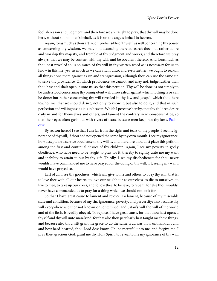foolish reason and judgment: and therefore we are taught to pray, that thy will may be done here, without sin, on man's behalf, as it is on the angels' behalf in heaven.

Again, forasmuch as thou art incomprehensible of thyself, as well concerning thy power as concerning thy wisdom, we may not, according thereto, search thee, but rather adore and worship thy majesty, and tremble at thy judgment and works; and therefore we pray always, that we may be content with thy will, and be obedient thereto. And forasmuch as thou hast revealed to us so much of thy will in thy written word as is necessary for us to know in this life, yea, as much as we can attain unto, and even further, we ought to reckon all things done there against as sin and transgression, although thou can use the same sin to serve thy providence. Of which providence we cannot, and may not, judge further than thou hast and shalt open it unto us; so that this petition, Thy will be done, is not simply to be understood concerning thy omnipotent will unrevealed, against which nothing is or can be done; but rather concerning thy will revealed in thy law and gospel, which thou here teaches me, that we should desire, not only to know it, but also to do it, and that in such perfection and willingness as it is in heaven. Which I perceive hereby, that thy children desire daily in and for themselves and others, and lament the contrary in whomsoever it be; so that their eyes often gush out with rivers of tears, because men keep not thy laws. [Psalm](http://www.ccel.org/study/Bible:Ps.119) [cxix.](http://www.ccel.org/study/Bible:Ps.119)

By reason hereof I see that I am far from the sighs and tears of thy people. I see my ignorance of thy will, if thou had not opened the same by thy own mouth. I see my ignorance, how acceptable a service obedience to thy will is, and therefore thou dost place this petition among the first and continual desires of thy children. Again, I see my poverty in godly obedience, who have need to be taught to pray for it, thereby to signify unto me my want and inability to attain it, but by thy gift. Thirdly, I see my disobedience: for thou never wouldst have commanded me to have prayed for the doing of thy will, if I, seeing my want, would have prayed so.

Last of all, I see thy goodness, which will give to me and others to obey thy will; that is, to love thee with all our hearts, to love our neighbour as ourselves, to die to ourselves, to live to thee, to take up our cross, and follow thee, to believe, to repent; for else thou wouldst never have commanded us to pray for a thing which we should not look for.

So that I have great cause to lament and rejoice. To lament, because of my miserable state and condition, because of my sin, ignorance, poverty, and perversity; also because thy will everywhere is either not known or contemned, and Satan's will the will of the world and of the flesh, is readily obeyed. To rejoice, I have great cause, for that thou hast opened thyself and thy will unto man-kind; for that also thou peculiarly hast taught me these things, and because also thou wilt grant me grace to do the same. But, alas! how unthankful I am, and how hard-hearted, thou Lord dost know. Oh! be merciful unto me, and forgive me. I pray thee, gracious God, grant me thy Holy Spirit, to reveal to me my ignorance of thy will,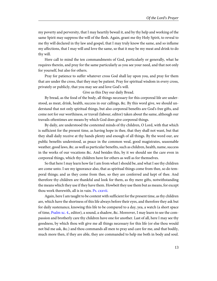my poverty and perversity, that I may heartily bewail it, and by thy help and working of the same Spirit may suppress the will of the flesh. Again, grant me thy Holy Spirit, to reveal to me thy will declared in thy law and gospel, that I may truly know the same, and so inflame my affections, that I may will and love the same, so that it may be my meat and drink to do thy will.

Here call to mind the ten commandments of God, particularly or generally, what he requires therein, and pray for the same particularly as you see your need, and that not only for yourself, but also for others.

Pray for patience to suffer whatever cross God shall lay upon you, and pray for them that are under the cross, that they may be patient. Pray for spiritual wisdom in every cross, privately or publicly, that you may see and love God's will.

Give us this Day our daily Bread.

By bread, as the food of the body, all things necessary for this corporeal life are understood, as meat, drink, health, success in our callings, &c. By this word give, we should understand that not only spiritual things, but also corporeal benefits are God's free gifts, and come not for our worthiness, or travail (labour, editor) taken about the same, although our travails oftentimes are means by which God does give corporeal things.

By daily, are understood the contented minds of thy children, O Lord, with that which is sufficient for the present time, as having hope in thee, that they shall not want, but that they shall daily receive at thy hands plenty and enough of all things. By the word our, are public benefits understood, as peace in the common weal, good magistrates, seasonable weather, good laws, &c. as well as particular benefits, such as children, health, name, success in the works of our vocations &c. And besides this, by it we should see the care even in corporeal things, which thy children have for others as well as for themselves.

So that here I may learn how far I am from what I should be, and what I see thy children are come unto. I see my ignorance also, that as spiritual things come from thee, so do temporal things; and as they come from thee, so they are conferred and kept of thee. And therefore thy children are thankful and look for them, as thy mere gifts, notwithstanding the means which they use if they have them. Howbeit they use them but as means, for except thou work therewith, all is in vain. [Ps. cxxvii.](http://www.ccel.org/study/Bible:Ps.127)

Again, here I am taught to be content with sufficient for the present time, as thy children are, which have the shortness of this life always before their eyes, and therefore they ask but for daily sustenance, knowing this life to be compared to a day, yea, a watch (a short space of time, [Psalm xc. 4.](http://www.ccel.org/study/Bible:Ps.90.4), editor), a sound, a shadow, &c. Moreover, I may learn to see the compassion and brotherly care thy children have one for another. Last of all, here I may see thy goodness, by which thou wilt give me all things necessary for this life (or else thou would not bid me ask, &c.) and thou commands all men to pray and care for me, and that bodily, much more then, if they are able, they are commanded to help me both in body and soul.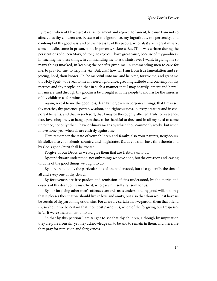By reason whereof I have great cause to lament and rejoice; to lament, because I am not so affected as thy children are, because of my ignorance, my ingratitude, my perversity, and contempt of thy goodness, and of the necessity of thy people, who; alas! are in great misery, some in exile, some in prison, some in poverty, sickness, &c. (This was written during the persecutions of queen Mary, editor.) To rejoice, I have great cause, because of thy goodness, in teaching me these things, in commanding me to ask whatsoever I want, in giving me so many things unasked, in keeping the benefits given me, in commanding men to care for me, to pray for me, to help me, &c. But, alas! how far I am from true lamentation and rejoicing, Lord, thou knows. Oh! be merciful unto me, and help me, forgive me, and grant me thy Holy Spirit, to reveal to me my need, ignorance, great ingratitude and contempt of thy mercies and thy people; and that in such a manner that I may heartily lament and bewail my misery, and through thy goodness be brought with thy people to mourn for the miseries of thy children as for mine own.

Again, reveal to me thy goodness, dear Father, even in corporeal things, that I may see thy mercies, thy presence, power, wisdom, and righteousness, in every creature and in corporeal benefits, and that in such sort, that I may be thoroughly affected, truly to reverence, fear, love, obey thee, to hang upon thee, to be thankful to thee, and in all my need to come unto thee; not only when I have ordinary means by which thou commonly works, but when I have none, yea, when all are entirely against me.

Here remember the state of your children and family; also your parents, neighbours, kinsfolks; also your friends, country, and magistrates, &c. as you shall have time thereto and by God's good Spirit shall be excited.

Forgive us our Debts, as we Forgive them that are Debtors unto us.

By our debts are understood, not only things we have done, but the omission and leaving undone of the good things we ought to do.

By our, are not only the particular sins of one understood, but also generally the sins of all and every one of thy church.

By forgiveness are free pardon and remission of sins understood, by the merits and deserts of thy dear Son Jesus Christ, who gave himself a ransom for us.

By our forgiving other men's offences towards us is understood thy good will, not only that it pleases thee that we should live in love and amity, but also that thou wouldst have us be certain of thy pardoning us our sins. For as we are certain that we pardon them that offend us, so should we be certain that thou dost pardon us, whereof the forgiving our trespasses is (as it were) a sacrament unto us.

So that by this petition I am taught to see that thy children, although by imputation they are pure from sin, yet they acknowledge sin to be and to remain in them, and therefore they pray for remission and forgiveness.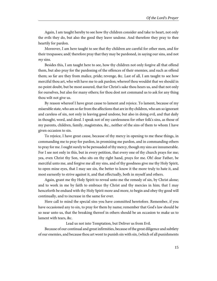Again, I am taught hereby to see how thy children consider and take to heart, not only the evils they do, but also the good they leave undone. And therefore they pray to thee heartily for pardon.

Moreover, I am here taught to see that thy children are careful for other men, and for their trespasses; and( therefore pray that they may be pardoned, in saying our sins, and not  $mv$  sins.

Besides this, I am taught here to see, how thy children not only forgive all that offend them, but also pray for the pardoning of the offences of their enemies, and such as offend them; so far are they from malice, pride; revenge, &c. Last of all, I am taught to see how merciful thou art, who wilt have me to ask pardon; whereof thou wouldst that we should in no point doubt, but be most assured, that for Christ's sake thou hears us, and that not only for ourselves, but also for many others; for thou dost not command us to ask for any thing thou wilt not give us.

By reason whereof I have great cause to lament and rejoice. To lament, because of my miserable state, who am so far from the affections that are in thy children, who am so ignorant and careless of sin, not only in leaving good undone, but also in doing evil, and that daily in thought, word, and deed. I speak not of my carelessness for other folk's sins, as those of my parents, children, family, magistrates, &c., neither of the sins of them to whom I have given occasion to sin.

To rejoice, I have great cause, because of thy mercy in opening to me these things, in commanding me to pray for pardon, in promising me pardon, and in commanding others to pray for me. I ought surely to be persuaded of thy mercy, though my sins are innumerable. For I see not only in this, but in every petition, that every one of thy church prays for me; yea, even Christ thy Son, who sits on thy right hand, prays for me. Oh! dear Father, be merciful unto me, and forgive me all my sins, and of thy goodness give me thy Holy Spirit, to open mine eyes, that I may see sin, the better to know it the more truly to hate it, and most earnestly to strive against it, and that effectually, both in myself and others.

Again, grant me thy Holy Spirit to reveal unto me the remedy of sin, by Christ alone; and to work in me by faith to embrace thy Christ and thy mercies in him; that I may henceforth be endued with thy Holy Spirit more and more, to begin and obey thy good will continually, and to increase in the same for ever.

Here call to mind the special sins you have committed heretofore. Remember, if you have occasioned any to sin, to pray for them by name; remember that God's law should be so near unto us, that the breaking thereof in others should be an occasion to make us to lament with tears, &c.

Lead us not into Temptation, but Deliver us from Evil.

Because of our continual and great infirmities, because of the great diligence and subtlety of our enemies, and because thou art wont to punish sin with sin, (which of all punishments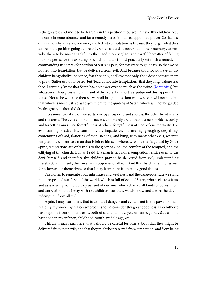is the greatest and most to be feared,) in this petition thou would have thy children keep the same in remembrance, and for a remedy hereof thou hast appointed prayer. So that the only cause why any are overcome, and led into temptation, is because they forget what they desire in the petition going before this, which should be never out of their memory, to provoke them to be more thankful to thee, and more vigilant and careful hereafter of falling into like perils, for the avoiding of which thou dost most graciously set forth a remedy, in commanding us to pray for pardon of our sins past, for thy grace to guide us; so that we he not led into temptation, but be delivered from evil. And because thou would have all thy children hang wholly upon thee, fear thee only, and love thee only, thou dost not teach them to pray, "Suffer us not to be led, but "lead us not into temptation," that they might alone fear thee. I certainly know that Satan has no power over so much as the swine, ([Matt. viii.](http://www.ccel.org/study/Bible:Matt.8);) but whatsoever thou gives unto him, and of thy secret but most just judgment dost appoint him to use. Not as he will, (for then we were all lost,) but as thou wilt, who can will nothing but that which is most just; so as to give them to the guiding of Satan, which will not be guided by thy grace, as thou did Saul.

Occasions to evil are of two sorts; one by prosperity and success, the other by adversity and the cross. The evils coming of success, commonly are unthankfulness, pride, security, and forgetting ourselves, forgetfulness of others, forgetfulness of God, of our mortality. The evils coming of adversity, commonly are impatience, murmuring, grudging, despairing, contemning of God, flattering of men, stealing, and lying, with many other evils, whereto temptations will entice a man that is left to himself; whereas, to one that is guided by God's Spirit, temptations are only trials to the glory of God, the comfort of the tempted, and the edifying of thy church. But, as I said, if a man is left alone, temptations entice even to the devil himself; and therefore thy children pray to be delivered from evil, understanding thereby Satan himself, the sower and supporter of all evil. And this thy children do, as well for others as for themselves, so that I may learn here-from many good things.

First, often to remember our infirmities and weakness, and the dangerous state we stand in, in respect of our flesh; of the world, which is full of evil; of Satan, who seeks to sift us, and as a roaring lion to destroy us; and of our sins, which deserve all kinds of punishment and correction, that I may with thy children fear thee, watch, pray, and desire the day of redemption from all evils.

Again, I may learn here, that to avoid all dangers and evils, is not in the power of man, but only thy work. By reason whereof I should consider thy great goodness, who hitherto hast kept me from so many evils, both of soul and body; yea, of name, goods, &c., as thou hast done in my infancy, childhood, youth, middle age, &c.

Thirdly, I may learn here, that I should be careful for others, both that they might be delivered from their evils, and that they might be preserved from temptation, and from being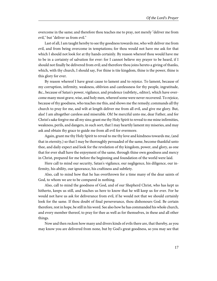overcome in the same; and therefore thou teaches me to pray, not merely "deliver me from evil," but "deliver us from evil."

Last of all, I am taught hereby to see thy goodness towards me, who wilt deliver me from evil, and from being overcome in temptations; for thou would not have me ask for that which I should not look for at thy hands certainly. By reason whereof thou would have me to be in a certainty of salvation for ever: for I cannot believe my prayer to be heard, if I should not finally be delivered from evil; and therefore thou joins hereto a giving of thanks, which, with thy church, I should say, For thine is tiie kingdom, thine is the power, thine is this glory for ever.

By reason whereof I have great cause to lament and to rejoice. To lament, because of my corruption, infirmity, weakness, oblivion and carelessness for thy people, ingratitude, &c., because of Satan's power, vigilance, and prudence (subtlety,, editor), which have overcome many most grave, wise, and holy men, whereof some were never recovered. To rejoice, because of thy goodness, who teaches me this, and shows me the remedy; commands all thy church to pray for me, and wilt at length deliver me from all evil, and give me glory. But, alas! I am altogether careless and miserable. Oh! be merciful unto me, dear Father, and for Christ's sake forgive me all my sins; grant me thy Holy Spirit to reveal to me mine infirmities, weakness, perils, and dangers, in such sort, that I may heartily lament my miseries, and may ask and obtain thy grace to guide me from all evil for evermore.

Again, grant me thy Holy Spirit to reveal to me thy love and kindness towards me, (and that in eternity,) so that I may be thoroughly persuaded of the same, become thankful unto thee, and daily expect and look for the revelation of thy kingdom, power, and glory, as one that for ever shall have the enjoyment of the same, through thine own goodness and mercy in Christ, prepared for me before the beginning and foundation of the world were laid.

Here call to mind our security, Satan's vigilance, our negligence, his diligence, our infirmity, his ability, our ignorance, his craftiness and subtlety.

Also, call to mind how that he has overthrown for a time many of the dear saints of God, to whom we are to be compared in nothing.

Also, call to mind the goodness of God, and of our Shepherd Christ, who has kept us hitherto, keeps us still, and teaches us here to know that he will keep us for ever. For he would not have us ask for deliverance from evil, if he would not that we should certainly look for the same. If thou doubt of final perseverance, thou dishonours God. Be certain therefore, rest in hope, be still in his word. See also how he has commanded his whole church, and every member thereof, to pray for thee as well as for themselves, in these and all other things.

Now and then reckon how many and divers kinds of evils there are, that thereby, as you may know you are delivered from none, but by God's great goodness, so you may see that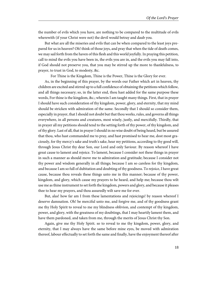the number of evils which you have, are nothing to be compared to the multitude of evils wherewith (if your Christ were not) the devil would betray and daub you.

But what are all the miseries and evils that can be when compared to the least joys prepared for us in heaven? Oh! think of those joys, and pray that when the tide of death comes, we may sail forth from the haven of this flesh and this world joyfully. In praying this petition, call to mind the evils you have been in, the evils you are in, and the evils you may fall into, if God should not preserve you, that you may be stirred up the more to thankfulness, to prayer, to trust in God, to modesty, &c.

For Thine is the Kingdom, Thine is the Power, Thine is the Glory for ever.

As, in the beginning of this prayer, by the words our Father which art in heaven, thy children are excited and stirred up to a full confidence of obtaining the petitions which follow, and all things necessary; so, in the latter end, thou hast added for the same purpose these words, For thine is the kingdom, &c.; wherein I am taught many things. First, that in prayer I should have such consideration of thy kingdom, power, glory, and eternity, that my mind should be stricken with admiration of the same. Secondly that I should so consider them, especially in prayer, that I should not doubt but that thou works, rules, and governs all things everywhere, in all persons and creatures, most wisely, justly, and mercifully. Thirdly, that in prayer all my petitions should tend to the setting forth of thy power, of thy kingdom, and of thy glory. Last of all, that in prayer I should in no wise doubt of being heard, but be assured that thou, who hast commanded me to pray, and hast promised to hear me, dost most graciously, for thy mercy's sake and truth's sake, hear my petitions, according to thy good will, through Jesus Christ thy dear Son, our Lord and only Saviour. By reason whereof I have great cause to lament and rejoice. To lament, because I consider not these things in prayer in such a manner as should move me to admiration and gratitude; because I consider not thy power and wisdom generally in all things; because I am so careless for thy kingdom, and because I am so full of dubitation and doubting of thy goodness. To rejoice, I have great cause, because thou reveals these things unto me in this manner; because of thy power, kingdom, and glory, which cause my prayers to he heard, and help me; because thou wilt use me as thine instrument to set forth the kingdom, powers and glory, and because it pleases thee to hear my prayers, and thou assuredly wilt save me for ever.

But, alas! how far am I from these lamentations and rejoicings! by reason whereof I deserve damnation. Oh! be merciful unto me, and forgive me, and of thy goodness grant me thy Holy Spirit to reveal to me my blindness oblivion, and contempt of thy kingdom, power, and glory, with the greatness of my doubtings, that I may heartily lament them, and have them pardoned, and taken from me, through the merits of Jesus Christ thy Son.

Again, give me thy Holy Spirit. so to reveal to me thy kingdom, power, glory, and eternity, that I may always have the same before mine eyes, be moved with admiration thereof, labour effectually to set forth the same and finally, have the enjoyment thereof after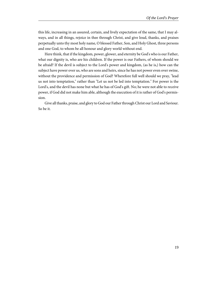this life, increasing in an assured, certain, and lively expectation of the same, that I may always, and in all things, rejoice in thee through Christ, and give loud, thanks, and praises perpetually unto thy most holy name, O blessed Father, Son, and Holy Ghost, three persons and one God, to whom be all honour and glory world without end.

Here think, that if the kingdom, power, glower, and eternity be God's who is our Father, what our dignity is, who are his children. If the power is our Fathers, of whom should we be afraid? If the devil is subject to the Lord's power and kingdom, (as he is,) how can the subject have power over us, who are sons and heirs, since he has not power even over swine, without the providence and permission of God? Wherefore full well should we pray, "lead us not into temptation," rather than "Let us not be led into temptation." For power is the Lord's, and the devil has none but what he has of God's gift. No; he were not able to receive power, if God did not make him able, although the execution of it is rather of God's permission.

Give all thanks, praise, and glory to God our Father through Christ our Lord and Saviour. So be it.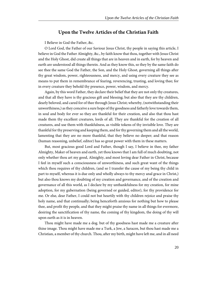#### **Upon the Twelve Articles of the Christian Faith**

<span id="page-23-0"></span>I Believe in God the Father, &c.

O Lord God, the Father of our Saviour Jesus Christ, thy people in saying this article, I believe in God the Father Almighty, &c., by faith know that thou, together with Jesus Christ and the Holy Ghost, did create all things that are in heaven and in earth, for by heaven and earth are understood all things therein. And as they know this, so they by the same faith do see thee the same God the Father, the Son, and the Holy Ghost, governing all things after thy great wisdom, power, righteousness, and mercy, and using every creature they see as means to put them in remembrance of fearing, reverencing, trusting, and loving thee; for in every creature they behold thy presence, power, wisdom, and mercy.

Again, by this word Father, they declare their belief that they are not only thy creatures, and that all they have is thy gracious gift and blessing; but also that they are thy children, dearly beloved, and cared for of thee through Jesus Christ; whereby, (notwithstanding their unworthiness,) as they conceive a sure hope of thy goodness and fatherly love towards them, in soul and body for ever so they are thankful for their creation, and also that thou hast made them thy excellent creatures, lords of all. They are thankful for the creation of all creatures, and use them with thankfulness, as visible tokens of thy invisible love. They are thankful for thy preserving and keeping them, and for thy governing them and all the world, lamenting that they are no more thankful, that they believe no deeper; and that reason (human reasoning, unbelief, editor) has so great power with them in these matters.

But, most gracious good Lord and Father, though I say, I believe in thee, my father Almighty, Maker of heaven and earth, yet thou knows that I am full of much doubting, not only whether thou art my good, Almighty, and most loving dear Father in Christ, because I feel in myself such a consciousness of unworthiness, and such great want of the things which thou requires of thy children, (and so I transfer the cause of my being thy child in part to myself, whereas it is due only and wholly always to thy mercy anal grace in Christ,) but also thou knows my doubting of my creation and governance, and of the creation and governance of all this world, as I declare by my unthankfulness for my creation, for mine adoption, for my gubernation (being governed or guided, editor), for thy providence for me. Or else, dear Father, I could not but heartily with thy children rejoice and praise thy holy name, and that continually; being henceforth anxious for nothing but how to please thee, and profit thy people, and that they might praise thy name in all things for evermore, desiring the sanctification of thy name, the coming of thy kingdom, the doing of thy will upon earth as it is in heaven.

Thou might have made me a dog. but of thy goodness hast made me a creature after thine image. Thou might have made me a Turk, a Jew, a Saracen, but thou hast made me a Christian, a member of thy church. Thou, after my birth, might have left me, and in all need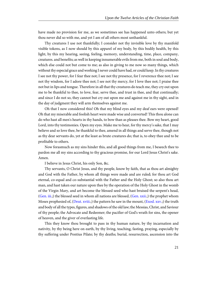have made no provision for me, as we sometimes see has happened unto others; but yet thou never did so with me, and yet I am of all others most unthankful.

Thy creatures I use not thankfully; I consider not thy invisible love by thy manifold visible tokens, as I now should by this apparel of my body, by this bodily health, by this light, by this my hearing, seeing, feeling, memory, understanding, time, place, company, creatures. and benefits; as well in keeping innumerable evils from me, both in soul and body, which else could not but come to me; as also in giving to me now so many things, which without thy especial grace and working I never could have had, or could keep. In thy creatures I see not thy power, for I fear thee not; I see not thy presence, for I reverence thee not; I see not thy wisdom, for I adore thee not; I see not thy mercy, for I love thee not; I praise thee not but in lips and tongue. Therefore in all that thy creatures do teach me, they cry out upon me to be thankful to thee, to love, fear, serve thee, and trust in thee, and that continually; and since I do not so, they cannot but cry out upon me and against me in thy sight, and in the day of judgment they will arm themselves against me.

Oh that I now considered this! Oh that my blind eyes and my deaf ears were opened! Oh that my miserable and foolish heart were made wise and converted! This thou alone can do who hast all men's hearts in thy hands, to bow than as pleases thee. Bow my heart, good Lord, into thy testimonies. Open my eyes. Make me to hear, for thy mercy's sake, that I may believe and so love thee, be thankful to thee, amend in all things and serve thee, though not as thy dear servants do, yet at the least as brute creatures do; that is, to obey thee and to be profitable to others.

Now forasmuch as my sins hinder this, and all good things from me, I beseech thee to pardon me all my sins according to thy gracious promise, for our Lord Jesus Christ's sake. Amen.

I believe in Jesus Christ, his only Son, &c.

Thy servants, O Christ Jesus, and thy people, know by faith, that as thou art almighty and God with the Father, by whom all things were made and are ruled; for thou art God eternal, co-equal and co-substantial with the Father and the Holy Ghost; so also thou art man, and hast taken our nature upon thee by the operation of the Holy Ghost in the womb of the Virgin Mary, and art become the blessed seed who hast bruised the serpent's head, ([Gen. iii.](http://www.ccel.org/study/Bible:Gen.3);) the blessed seed in whom all nations are blessed, ([Gen. xxii.;](http://www.ccel.org/study/Bible:Gen.22)) the prophet whom Moses prophesied of, [\(Deut. xviii.;](http://www.ccel.org/study/Bible:Deut.18)) the pattern he saw in the mount, [\(Exod. xxv.;](http://www.ccel.org/study/Bible:Exod.25)) the truth and body of all the types, figures, and shadows of the old law; the Messias, Christ, and Saviour of thy people; the Advocate and Redeemer; the pacifier of God's wrath for sins, the opener of heaven, and the giver of everlasting life.

This they know thou brought to pass in thy human nature, by thy incarnation and nativity, by thy being here on earth, by thy living, teaching, fasting, praying, especially by thy suffering under Pontius Pilate; by thy deaths; burial, resurrection, ascension into the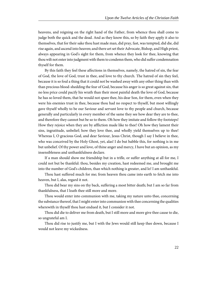heavens, and reigning on the right hand of the Father, from whence thou shall come to judge both the quick and the dead. And as they know this, so by faith they apply it also to themselves, that for their sake thou hast made man, did pray, fast, was tempted, did die, did rise again, and ascend into heaven; and there art set their Advocate, Bishop, and High priest, always appearing in God's sight for them, from whence they look for thee, knowing that thou wilt not enter into judgment with them to condemn them, who did suffer condemnation thyself for them.

By this faith they feel these affections in themselves, namely, the hatred of sin, the fear of God, the love of God, trust in thee, and love to thy church. The hatred of sin they feel, because it is so foul a thing that it could not be washed away with any other thing than with than precious blood-shedding the fear of God, because his anger is so great against sin, that no less price could pacify his wrath than their most painful death the love of God, because he has so loved them, that he would not spare thee, his dear Son, for them, even when they were his enemies trust in thee, because thou had no respect to thyself, but most willingly gave thyself wholly to be our Saviour and servant love to thy people and church, because generally and particularly in every member of the same they see how dear they are to thee, and therefore they cannot but be so to them. Oh how they imitate and follow thy footsteps! How they rejoice when they are by affliction made like to thee! Oh how they lament their sins, ingratitude, unbelief; how they love thee, and wholly yield themselves up to thee! Whereas I, O gracious God, and dear Saviour, Jesus Christ, though I say I believe in thee, who was conceived by the Holy Ghost, yet, alas! I do but babble this, for nothing is in me but unbelief. Of thy power and love, of thine anger and mercy, I have but an opinion, as my insensibleness and unthankfulness declare.

If a man should show me friendship but in a trifle, or suffer anything at all for me, I could not but be thankful: thou, besides my creation, hast redeemed me, and brought me into the number of God's children, than which nothing is greater, and lo! I am unthankful.

Thou hast suffered much for me; from heaven thou came into earth to fetch me into heaven, but I, alas, regard it not.

Thou did bear my sins on thy back, suffering a most bitter death; but I am so far from thankfulness, that I loath thee still more and more.

Thou would enter into communion with me, taking my nature unto thee, concerning the substance thereof, that I might enter into communion with thee concerning the qualities wherewith in thyself thou hast endued it, but I consider it not.

Thou did die to deliver me from death, but I still more and more give thee cause to die, so ungrateful am I.

Thou did rise to justify me, but I with the Jews would still keep thee down, because I would not leave my wickedness.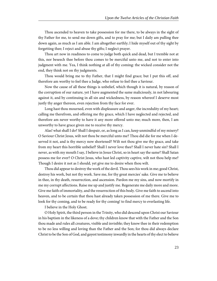Thou ascended to heaven to take possession for me there, to be always in the sight of thy Father for me, to send me down gifts, and to pray for me; but I daily am pulling thee down again, as much as I am able. I am altogether earthly; I hide myself out of thy sight by forgetting thee; I reject and abuse thy gifts; I neglect prayer.

Thou art now in readiness to come to judge both quick and dead, but I tremble not at this, nor beseech thee before thou comes to be merciful unto me, and not to enter into judgment with me. Yea, I think nothing at all of thy coming: the wicked consider not the end, they think not on thy judgments.

Thou would bring me to thy Father, that I might find grace; but I put this off, and therefore am worthy to feel thee a Judge, who refuse to feel thee a Saviour.

Now the cause of all these things is unbelief, which though it is natural, by reason of the corruption of our nature, yet I have augmented the same maliciously, in not labouring against it, and by continuing in all sin and wickedness, by reason whereof I deserve most justly thy anger thereon, even rejection from thy face for ever.

Long hast thou mourned, even with displeasure and anger, the incredulity of my heart; calling me therefrom, and offering me thy grace, which I have neglected and rejected, and therefore am never worthy to have it any more offered unto me; much more, then, I am unworthy to have grace given me to receive thy mercy.

Alas! what shall I do? Shall I despair, or, as long as I can, keep unmindful of my misery? O Saviour Christ Jesus, wilt not thou be merciful unto me? Thou did die for me when I deserved it not, and is thy mercy now shortened? Wilt not thou give me thy grace, and take from my heart this horrible unbelief? Shall I never love thee? Shall I never hate sin? Shall I never, as with my mouth I say, I believe in Jesus Christ, so in heart say the same? Shall Satan possess me for ever? O Christ Jesus, who hast led captivity captive, wilt not thou help me? Though I desire it not as I should, yet give me to desire when thou wilt.

Thou did appear to destroy the work of the devil. Thou sees his work in me; good Christ, destroy his work, but not thy work. Save me, for thy great mercies' sake. Give me to believe in thee, in thy death, resurrection, and ascension. Pardon me my sins, and now mortify in me my corrupt affections. Raise me up and justify me. Regenerate me daily more and more. Give me faith of immortality, and the resurrection of this body. Give me faith to ascend into heaven, and to be certain that thou hast already taken possession of me there. Give me to look for thy coming, and to be ready for thy coming! to find mercy to everlasting life.

I believe in the Holy Ghost.

O Holy Spirit, the third person in the Trinity, who did descend upon Christ our Saviour in his baptism in the likeness of a dove; thy children know that with the Father and the Son thou made and rules all creatures, visible and invisible; they know thee in their redemption to be no less willing and loving than the Father and the Son; for thou did always declare Christ to be the Son of God, and gayest testimony inwardly in the hearts of thy elect to believe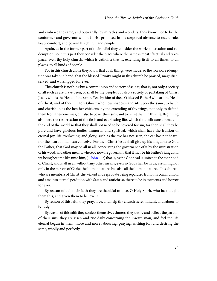and embrace the same; and outwardly, by miracles and wonders, they know thee to be the conformer and governor whom Christ promised in his corporeal absence to teach, rule, keep, comfort, and govern his church and people.

Again, as in the former part of their belief they consider the works of creation and redemption; so in this part they consider the place where the same is most effectual and takes place, even thy holy church, which is catholic; that is, extending itself to all times, to all places, to all kinds of people.

For in this church alone they know that as all things were made, so the work of redemption was taken in hand, that the blessed Trinity might in this church be praised, magnified, served, and worshipped for ever.

This church is nothing but a communion and society of saints; that is, not only a society of all such as are, have been, or shall be thy people, but also a society or partaking of Christ Jesus, who is the Head of the same. Yea, by him of thee, O blessed Father! who art the Head of Christ, and of thee, O Holy Ghost! who now shadows and sits upon the same, to hatch and cherish it, as the hen her chickens, by the extending of thy wings, not only to defend them from their enemies, but also to cover their sins, and to remit them in this life. Beginning also here the resurrection of the flesh and everlasting life, which thou wilt consummate in the end of the world so that they shall not need to be covered for sin; for then shall they be pure and have glorious bodies immortal and spiritual, which shall have the fruition of eternal joy, life everlasting, and glory, such as the eye has not seen, the ear has not heard, nor the heart of man can conceive. For then Christ Jesus shall give up his kingdom to God the Father, that God may be all in all; concerning the governance of it by the ministration of his word, and other means, whereby now he governs it, that it may be his Father's kingdom, we being become like unto him, ([1 John iii.](http://www.ccel.org/study/Bible:1John.3) :) that is, as the Godhead is united to the manhood of Christ, and is all in all without any other means; even so God shall be in us, assuming not only in the person of Christ the human nature, but also all the human nature of his church, who are members of Christ; the wicked and reprobate being separated from this communion, and cast into eternal perdition with Satan and antichrist, there to be in torments and horror for ever.

By reason of this their faith they are thankful to thee, O Holy Spirit, who hast taught them this, and given them to believe it.

By reason of this faith they pray, love, and help thy church here militant, and labour to be holy.

By reason of this faith they confess themselves sinners, they desire and believe the pardon of their sins, they are risen and rise daily concerning the inward man, and feel the life eternal begun in them, more and more labouring, praying, wishing for, and desiring the same, wholly and perfectly.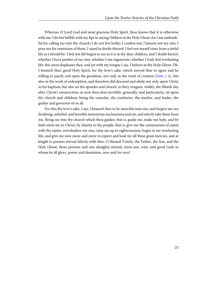Whereas, O Lord God and most gracious Holy Spirit, thou knows that it is otherwise with me. I do but babble with my lips in saying I believe in the Holy Ghost, for I am unthankful for calling me into thy church; I do not live holily; I confess not, I lament not my sins, I pray not for remission of them, I stand in doubt thereof, I feel not myself risen from a sinful life as I should be. I feel not life begun in me as it is in thy dear children, and I doubt hereof, whether I have pardon of my sins, whether I am regenerate, whether I truly feel everlasting life: this most displeases thee, and yet with my tongue I say, I believe in the Holy Ghost. Oh, I beseech thee, good Holy Spirit, for thy love's sake, which moved thee to agree and be willing to pacify and open the goodness, not only in the work of creation [\(Gen. i.](http://www.ccel.org/study/Bible:Gen.1) ii.; but also in the work of redemption, and therefore did descend and abide not only upon Christ in his baptism, but also on the apostles and church, in fiery tongues, visibly, the fiftieth day after Christ's resurrection; as now thou dost invisibly, generally, and particularly, sit upon thy church and children, being the consoler, the comforter, the teacher, and leader, the guider and governor of us all.

For this thy love's sake, I say, I beseech thee to be merciful unto me, and forgive me my doubting, unbelief, and horrible monstrous uncleanness and sin, and utterly take them from me. Bring me into thy church which thou guides; that is, guide me, make me holy, and by faith unite me to Christ, by charity to thy people; that is, give me the communion of saints with thy saints, overshadow my sins, raise me up to righteousness, begin in me everlasting life, and give me now more and more to expect and look for all these great mercies, and at length to possess eternal felicity with thee, O blessed Trinity, the Father, the Son, and the Holy Ghost, three persons and one almighty eternal, most just, wise, and good God; to whom be all glory, power and dominion, now and for ever!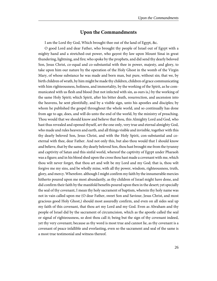#### **Upon the Commandments**

<span id="page-29-0"></span>I am the Lord thy God, Which brought thee out of the land of Egypt, &c.

O good Lord and dear Father, who brought thy people of Israel out of Egypt with a mighty hand and a stretched-out power, who gayest thy law upon Mount Sinai in great thundering, lightning, and fire; who spoke by the prophets, and did send thy dearly beloved Son, Jesus Christ, co-equal and co-substantial with thee in power, majesty, and glory, to take upon him our nature by the operation of the Holy Ghost in the womb of the Virgin Mary, of whose substance he was made and born man, but pure, without sin; that we, by birth children of wrath, by him might be made thy children, children of grace communicating with him righteousness, holiness, and immortality, by the working of the Spirit, as he communicated with us flesh and blood (but not infected with sin, as ours is,) by the working of the same Holy Spirit; which Spirit, after his bitter death, resurrection, and ascension into the heavens, he sent plentifully, and by a visible sign, unto his apostles and disciples; by whom he published the gospel throughout the whole world, and so continually has done from age to age, does, and will do unto the end of the world, by the ministry of preaching. Thou would that we should know and believe that thou, this Almighty Lord and God, who hast thus revealed and opened thyself, art the one only, very true and eternal almighty God, who made and rules heaven and earth, and all things visible and invisible, together with this thy dearly beloved Son, Jesus Christ, and with the Holy Spirit, con-substantial and coeternal with thee, dear Father. And not only this, but also thou would that I should know and believe, that by the same, thy dearly beloved Son, thou hast brought me from the tyranny and captivity of Satan and this sinful world, whereof the captivity of Egypt under Pharaoh was a figure; and in his blood shed upon the cross thou hast made a covenant with me, which thou wilt never forget, that thou art and wilt be my Lord and my God; that is, thou wilt forgive me my sins, and be wholly mine, with all thy power, wisdom, righteousness, truth, glory, and mercy. Wherefore. although I might confirm my faith by the innumerable mercies hitherto poured upon me most abundantly, as thy children of Israel might have done, and did confirm their faith by the manifold benefits poured upon then in the desert; yet specially the seal of thy covenant, I mean thy holy sacrament of baptism, wherein thy holy name was not in vain called upon me (O dear Father, sweet Son and Saviour, Jesus Christ, and most gracious good Holy Ghost,) should most assuredly confirm, and even on all sides seal up my faith of this covenant, that thou art my Lord and my God. Even as Abraham and thy people of Israel did by the sacrament of circumcision, which as the apostle called the seal or signal of righteousness, so dost thou call it; being but the sign of thy covenant indeed, yet thy very covenant; because as thy word is most true and cannot lie, as thy covenant is a covenant of peace infallible and everlasting, even so the sacrament and seal of the same is a most true testimonial and witness thereof.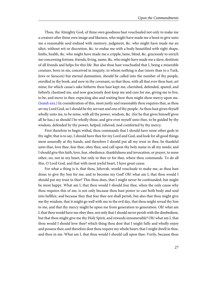Thou, the Almighty God, of thine own goodness hast vouchsafed not only to make me a creature after thine own image and likeness, who might have made me a beast to give unto me a reasonable soul endued with memory, judgment, &c. who might have made me an idiot, without wit or discretion, &c. to endue me with a body beautified with right shape, limbs, health, &c. who might have made me a cripple, lame, blind, &c. graciously to enrich me concerning fortune, friends, living, name, &c. who might have made me a slave, destitute of all friends and helps for this life. But also thou hast vouchsafed that I, being a miserable creature, born in sin, conceived in iniquity, to whom nothing is due (more than to a Turk, Jews or Saracen) but eternal damnation, should be called into the number of thy people, enrolled in thy book, and now in thy covenant, so that thou, with all that ever thou hast, art mine; for which cause's sake hitherto thou hast kept me, cherished, defended, spared, and fatherly chastised me, and now graciously dost keep me and care for me, giving me to live, to be, and move in thee, expecting also and waiting how thou might show mercy upon me. ([Isaiah xxx.](http://www.ccel.org/study/Bible:Isa.30)) In consideration of this, most justly and reasonably thou requires that, as thou art my Lord God, so I should be thy servant and one of thy people. As thou hast given thyself wholly unto me, to be mine, with all thy power, wisdom, &c. (for he that gives himself gives all he has,) so should I be wholly thine, and give over myself unto thee, to be guided by thy wisdom, defended by thy power, helped, relieved, nod comforted by thy mercy.

First therefore to begin withal, thou commands that I should have none other gods in thy sight; that is to say, I should have thee for my Lord and God, and look for all good things most assuredly at thy hands, and therefore I should put all my trust in thee, be thankful unto thee, love thee, fear thee, obey thee, and call upon thy holy name in all my needs; and I should give this faith, love, fear, obedience, thankfulness and invocation, or prayer, to none other, no, not in my heart, but only to thee or for thee, where thou commands. To do all this, O Lord God, and that with most joyful heart, I have great cause.

For what a thing is it, that thou, Jehovah, would vouchsafe to make me, as thou hast done; to give thy Son for me, and to become my God! Oh! what am I, that thou would I should put my trust in thee? This thou does, that I might never be confounded, but might be most happy. What am I, that thou would I should fear thee, when the only cause why thou requires this of me, is not only because thou hast power to cast both body and soul into hellfire, and because they that fear thee not shall perish, but also that thou might give me thy wisdom, that it might go well with me in the evil day, that thou might reveal thy Son to me, and that thy mercy might be upon me from generation to generation. Oh! what am I, that thou would have me obey thee, not only that I should never perish with the disobedient, but that thou might give me thy Holy Spirit, and rewards innumerable? Oh! what am I, that thou would I should love thee? which thing thou dost that I might fully and wholly enjoy and possess thee; and therefore dost thou require my whole heart, that I might dwell in thee, and thou in me. What am I, that thou would I should call upon thee: Verily, because thou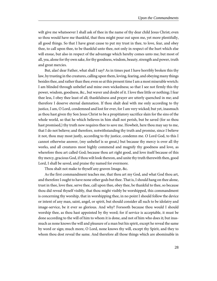wilt give me whatsoever I shall ask of thee in the name of thy dear child Jesus Christ; even so thou would have me thankful, that thou might pour out upon me, yet more plentifully, all good things. So that I have great cause to put my trust in thee, to love, fear, and obey thee, to call upon thee, to be thankful unto thee, not only in respect of the hurt which else will ensue, but also in respect of the advantage which hereby comes unto me; but most of all, yea, alone for thy own sake, for thy goodness, wisdom, beauty, strength and power, truth and great mercies.

But, alas! dear Father, what shall I say? As in times past I have horribly broken this thy law, by trusting in the creatures, calling upon them, loving, fearing, and obeying many things besides thee, and rather than thee; even so at this present time I am a most miserable wretch: I am blinded through unbelief and mine own wickedness; so that I see not firmly this thy power, wisdom, goodness, &c., but waver and doubt of it. I love thee little or nothing; I fear thee less, I obey thee least of all; thankfulness and prayer are utterly quenched in me; and therefore I deserve eternal damnation. If thou shalt deal with me only according to thy justice, I am, O Lord, condemned and lost for ever, for I am very wicked; but yet, inasmuch as thou hast given thy Son Jesus Christ to be a propitiatory sacrifice slain for the sins of the whole world, so that he which believes in him shall not perish, but be saved (for so thou hast promised,) thy truth now requires thee to save me. Howbeit, here thou may say to me, that I do not believe; and therefore, notwithstanding thy truth and promise, since I believe it not, thou may most justly, according to thy justice, condemn me. O Lord God, to this I cannot otherwise answer, (my unbelief is so great,) but because thy mercy is over all thy works, and all creatures most highly commend and magnify thy goodness and love, as wherefore thou art called God; because thou art right good, and love itself because of this thy mercy, gracious God, if thou wilt look thereon, and unite thy truth therewith then, good Lord, I shall be saved, and praise thy named for evermore.

Thou shalt not make to thyself any graven Image, &c.

As the first commandment teaches me, that thou art my God, and what God thou art, and therefore I ought to have none other gods but thee. That is, I should hang on thee alone, trust in thee, love thee, serve thee, call upon thee, obey thee, be thankful to thee, so because thou did reveal thyself visibly, that thou might visibly be worshipped, this commandment is concerning thy worship, that in worshipping thee, in no point I should follow the device or intent of any man, saint, angel, or spirit, but should consider all such to be idolatry and image-service, be it ever so glorious. And why? Forsooth because thou would I should worship thee, as thou hast appointed by thy word; for if service is acceptable, it must be done according to the will of him to whom it is done, and not of him who does it; but inasmuch as none knows the will and pleasure of a man but his spirit, except he reveal the same by word or sign; much more, O Lord, none knows thy will, except thy Spirit, and they to whom thou dost reveal the same. And therefore all those things which are abominable in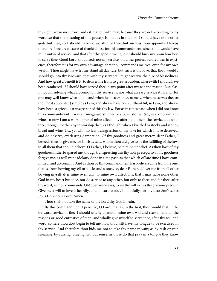thy sight, are in most force and estimation with men, because they are not according to thy word; so that the meaning of this precept is, that as in the first I should have none other gods but thee, so I should have no worship of thee, but such as thou appoints. Hereby therefore I see great cause of thankfulness for this commandment, since thou would have mine outward service, and that after thy appointment; lest I should busy my brain how best to serve thee. Good Lord, thou needs not my service: thou was perfect before I was in existence, therefore it is for my own advantage, that thou commands me, yea, even for my own wealth. Thou might have let me stand all day idle; but such is thy love, that thou would I should go into thy vineyard, that with thy servants I might receive the hire of blessedness. And how great a benefit is it, to deliver me from so great a burden, wherewith I should have been cambered, if I should have served thee in any point after my wit and reason, But, alas! I, not considering what a promotion thy service is, nor what an easy service it is, and (for one may well know what to do, and when he pleases thee, namely, when he serves thee as thou host appointed) simple as I am, and always have been unthankful; so I am, and always have been, a grievous transgressor of this thy law. For as in times past, when I did not know this commandment, I was an image-worshipper of stocks, stones, &c., yea, of bread and wine; so now I am a worshipper of mine affections, offering to them the service due unto thee, though not thereby to worship thee, as I thought when I kneeled to stocks and stones, bread and wine, &c., yet with no less transgression of thy law: for which I have deserved, and do deserve, everlasting damnation. Of thy goodness and great mercy, dear Father, I beseech thee forgive me, for Christ's sake, whom thou did give to be the fulfilling of the law, to all them that should believe. O Father, I believe, help mine unbelief. As thou hast of thy goodness hitherto spared me, though transgressing this thy holy precept; so of thy goodness forgive me, as well mine idolatry done in time past, as that which of late time I have committed, and do commit. And as thou by this commandment hast delivered me from the one, that is, from bowing myself to stocks and stones, so, dear Father, deliver me from all other bowing myself after mine oven will, to mine own affections; that I may have none other God in my heart but thee, nor do service to any other, but only to thee, and for thee, after thy word, as thou commands. Oh! open mine eyes, to see thy will in this thy gracious precept. Give me a will to love it heartily, and a heart to obey it faithfully, for thy dear Son's sakes Jesus Christ our Lord. Amen.

Thou shalt not take the name of the Lord thy God in vain.

By this commandment I perceive, O Lord, that as, in the first, thou would that in the outward service of thee I should utterly abandon mine own will and reason, and all the reasons or good entreaties of man, and wholly give myself to serve thee, after thy will and word; so here thou dost begin to tell me, how thou wilt have my tongue to be exercised in thy service. And therefore thou bids me not to take thy name in vain; as by rash or vain swearing, by cursing; praying without sense, as those do that pray in a tongue they know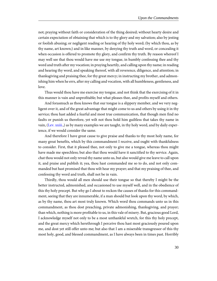not; praying without faith or consideration of the thing desired; without hearty desire and certain expectation of obtaining that which is to thy glory and my salvation; also by jesting or foolish abusing; or negligent reading or hearing of thy holy word; (by which thou, as by thy name, art known;) and in like manner, by denying thy truth and word, or concealing it when occasion is offered to promote thy glory, and confirm thy truth. By reason whereof I may well see that thou would have me use my tongue, in humbly confessing thee and thy word and truth after my vocation; in praying heartily, and calling upon thy name; in reading and hearing thy word, and speaking thereof, with all reverence, diligence, and attention; in thanksgiving and praising thee, for thy great mercy; in instructing my brother, and admonishing him when he errs, after my calling and vocation, with all humbleness, gentleness, and love.

Thus would thou have me exercise my tongue, and not think that the exercising of it in this manner is vain and unprofitable; but what pleases thee, and profits myself and others.

And forasmuch as thou knows that our tongue is a slippery member, and we very negligent over it, and of the great advantage that might come to us and others by using it in thy service; thou hast added a fearful and most true communication, that though men find no faults or punish us therefore, yet wilt not thou hold him guiltless that takes thy name in vain, [\(Lev. xxiii.,](http://www.ccel.org/study/Bible:Lev.23)) as by many examples we are taught, in thy holy word, and by daily experience, if we would consider the same.

And therefore I have great cause to give praise and thanks to thy most holy name, for many great benefits, which by this commandment I receive, and ought with thankfulness to consider. First, that it pleased thee, not only to give me a tongue, whereas thou might have made me speechless; but also that thou would have it sanctified to thy service. Again, chat thou would not only reveal thy name unto us, but also would give me leave to call upon it, and praise and publish it; yea, thou hast commanded me so to do, and not only commanded but hast promised that thou wilt hear my prayer; and that my praising of thee, and confessing thy word and truth, shall not be in vain.

Thirdly, thou would all men should use their tongue so that thereby I might be the better instructed, admonished, and occasioned to use myself well, and in the obedience of this thy holy precept. But why go I about to reckon the causes of thanks for this commandment, seeing that they are innumerable, if a man should but look upon thy word, by which, as by thy name, thou art most truly known. Which word thou commands unto us in this commandment, as thou dost preaching, private admonishing, thanksgiving, and prayer; than which, nothing is more profitable to us, in this vale of misery. But, gracious good Lord, I acknowledge myself not only to be a most unthankful wretch, for this thy holy precept, and the great mercy which herethrough I perceive thou hast most graciously poured upon me, and dost yet still offer unto me; but also that I am a miserable transgressor of this thy most holy, good, and blessed commandment, as I have always been in times past. Horribly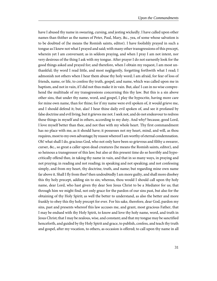have I abused thy name in swearing, cursing, and jesting wickedly. I have called upon other names than thither as the names of Peter, Paul, Mary, &c., yea, of some whose salvation is to be doubted of (he means the Romish saints, editor). I have foolishly prayed in such a tongue as I knew not what I prayed and said; with many other transgressions of this precept, wherein yet I am conversant; as in seldom praying, and when I pray I am not intent, nor very desirous of the thing I ask with my tongue. After prayer I do not earnestly look for the good things asked and prayed for; and therefore, when I obtain my request, I am most unthankful; thy word I read little, and most negligently, forgetting forthwith what I read; I admonish not others when I hear them abuse thy holy word; I am afraid, for fear of loss of friends, name, or life, to confess thy truth, gospel, and name, which was called upon me in baptism, and not in vain, if I did not thus make it in vain. But, alas! I can in no wise comprehend the multitude of my transgressions concerning this thy law. But this is a sin above other sins, that under thy name, word, and gospel, I play the hypocrite, having more care for mine own name, than for thine; for if my name were evil spoken of, it would grieve me, and I should defend it; but, alas! I hear thine daily evil spoken of, and see it profaned by false doctrine and evil living, but it grieves me not. I seek not, and do not endeavour to redress these things in myself and in others, according to my duty. And why? because, good Lord, I love myself better than thee, and not thee with my whole heart. Thy first commandment has no place with me, as it should have; it possesses not my heart, mind, and will, as thou requires, most to my own advantage; by reason whereof I am worthy of eternal condemnation. Oh! what shall I do, gracious God, who not only have been so grievous and filthy a swearer, curser, &c., so great a caller upon dead creatures (he means the Romish saints, editor), and so heinous a transgressor of this law; but also at this present time do so horribly and hypocritically offend thee, in taking thy name in vain, and that in so many ways, in praying and not praying; in reading and not reading; in speaking and not speaking; and not confessing simply, and from my heart, thy doctrine, truth, and name; but regarding mine own name far above it. Shall I fly from thee? then undoubtedly I am more guilty, and shall more disobey this thy holy precept, adding sin to sin; whereas, thou would I should call upon thy holy name, dear Lord, who hast given thy dear Son Jesus Christ to be a Mediator for us; that through him we might find, not only grace for the pardon of our sins past, but also for the obtaining of thy Holy Spirit; as well the better to understand, as also the better and more frankly to obey this thy holy precept for ever. For his sake, therefore, dear God, pardon my sins, past and presents whereof this law accuses me, and grant, most gracious Father, that I may be endued with thy Holy Spirit, to know and love thy holy name, word, and truth in Jesus Christ; that I may be zealous, wise, and constant; and that my tongue may be sanctified henceforth, and guided by thy Holy Spirit and grace, to publish, confess, and teach thy truth and gospel, after my vocation, to others, as occasion is offered; to call upon thy name in all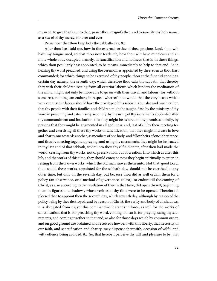my need, to give thanks unto thee, praise thee, magnify thee, and to sanctify thy holy name, as a vessel of thy mercy, for ever and ever.

Remember that thou keep holy the Sabbath-day, &c.

After thou hast told me, how in the external service of thee, gracious Lord, thou wilt have my tongue used, so dost thou now teach me, how thou wilt have mine ears and all mine whole body occupied, namely, in sanctification and holiness; that is, in those things, which thou peculiarly hast appointed, to be means immediately to help to that end. As in hearing thy word preached, and using the ceremonies appointed by thee, even as thou hast commanded; for which things to be exercised of thy people, thou at the first did appoint a certain day namely, the seventh day, which therefore thou calls thy sabbath, that thereby they with their children resting from all exterior labour, which hinders the meditation of the mind, might not only be more able to go on with their travail and labour (for without some rest, nothing can endure, in respect whereof thou would that the very beasts which were exercised in labour should have the privilege of this sabbath,) but also and much rather, that thy people with their families and children might be taught, first, by the ministry of thy word in preaching and catechising: secondly, by the using of thy sacraments appointed after thy commandment and institution, that they might be assured of thy promises; thirdly, by praying that they might be augmented in all godliness: and, last of all, by their meeting together and exercising all these thy works of sanctification, that they might increase in love and charity one towards another, as members of one body, and fellow heirs of one inheritance; and thus by meeting together, praying, and using thy sacraments, they might be instructed in thy law and of that sabbath, whereunto thou thyself did enter, after thou had made the world, ceasing from thy works, not of preservation, but of creation. Into which as after this life, and the works of this time, they should enter; so now they begin spiritually to enter, in resting from their own works, which the old man moves them unto. Not that, good Lord, thou would these works, appointed for the sabbath day, should not be exercised at any other time, but only on the seventh day; but because thou did as well ordain them for a policy (an observance, or a method of governance, editor), to endure till the coming of Christ, as also according to the revelation of thee in that time, did open thyself, beginning them in figures and shadows, whose verities at thy time were to be opened. Therefore it pleased thee to appoint then the seventh day, which seventh day, although by reason of the policy being by thee destroyed, and by reason of Christ, the verity and body of all shadows, it is abrogated from us; yet this commandment stands in force; as well for the works of sanctification, that is, for preaching thy word, coming to hear it, for praying, using thy sacraments, and coming together to that end; as also for those days which by common order, and on good ground are ordained and received;: howbeit with this liberty, that necessity of our faith, and sanctification and charity, may dispense therewith, occasion of wilful and witty offence being avoided, &c. So, that hereby I perceive thy will and pleasure to be, that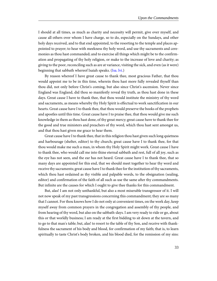I should at all times, as much as charity and necessity will permit, give over myself, and cause all others over whom I have charge, so to do, especially on the Sundays, and other holy days received, and to that end appointed, to the resorting to the temple and places appointed to prayer; to hear with meekness thy holy word, and use thy sacraments and ceremonies as thou hast commanded; and to exercise all things which might be to the confirmation and propagating of thy holy religion, or make to the increase of love and charity; as giving to the poor, reconciling such as are at variance, visiting the sick, and even (as it were) beginning that sabbath whereof Isaiah speaks. [\(Isa. lvi.](http://www.ccel.org/study/Bible:Isa.56))

<span id="page-36-0"></span>By reason whereof I have great cause to thank thee, most gracious Father, that thou would appoint me to be in this time, wherein thou hast more fully revealed thyself than thou did, not only before Christ's coming, but also since Christ's ascension. Never since England was England, did thou so manifestly reveal thy truth, as thou hast done in these days. Great cause I have to thank thee, that thou would institute the ministry of thy word and sacraments, as means whereby thy Holy Spirit is effectual to work sanctification in our hearts. Great cause have I to thank thee, that thou would preserve the books of the prophets and apostles until this time. Great cause have I to praise thee, that thou would give me such knowledge in them as thou hast done, of thy great mercy; great cause have to thank thee for the good and true ministers and preachers of thy word, which thou hast sent amongst us, and that thou hast given me grace to hear them.

Great cause have I to thank thee, that in this religion thou hast given such long quietness and harbourage (shelter, editor) to thy church; great cause have I to thank thee, for that thou would make me such a man, in whom thy Holy Spirit might work. Great cause I have to thank thee, who would call me into thine eternal sabbath and rest, full of all joy, such as the eye has not seen, and the ear has not heard. Great cause have I to thank thee, that so many days are appointed for this end, that we should meet together to hear thy word and receive thy sacraments; great cause have I to thank thee for the institution of thy sacraments, which thou hast ordained as thy visible and palpable words, to the obsignation (sealing, editor) and confirmation of the faith of all such as use the same after thy commandments. But infinite are the causes for which I ought to give thee thanks for this commandment.

But, alas! I am not only unthankful, but also a most miserable transgressor of it. I will not now speak of my past transgressions concerning this commandment; they are so many that I cannot. For thou knows how I do not only at convenient times, on the work day, keep myself away from common prayers in the congregation and assembly of thy people, and from hearing of thy word, but also on the sabbath-days. I am very ready to ride or go, about this or that worldly business; I am ready at the first bidding to sit down at the tavern, and to go to that man's table; but, alas! to resort to the table of thy Son, and receive with thankfulness the sacrament of his body and blood, for confirmation of my faith; that is, to learn spiritually to taste Christ's body broken, and his blood died, for the remission of my sins: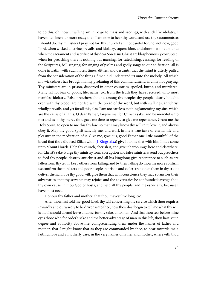to do this, oh! how unwilling am I! To go to mass and sacrings, with such like idolatry, I have often been far more ready than I am now to hear thy word, and use thy sacraments as I should do: thy ministers I pray not for; thy church I am not careful for; no, not now, good Lord, when wicked doctrine prevails, and idolatry, superstition, and abominations abound; when the sacrament and sacrifice of thy dear Son Jesus Christ are blasphemously corrupted: when for preaching there is nothing but massing; for catechising, censing; for reading of the Scriptures, bell-ringing; for singing of psalms and godly songs to our edification, all is done in Latin, with such notes, times, ditties, and descants, that the mind is utterly pulled from the consideration of the thing (if men did understand it) unto the melody. All which my wickedness has brought in, my profaning of this commandment, and my not praying. Thy ministers are in prison, dispersed in other countries, spoiled, burnt, and murdered. Many fall for fear of goods, life, name, &c. from the truth they have received, unto most manifest idolatry. False preachers abound among thy people; thy people, dearly bought, even with thy blood, are not fed with the bread of thy word, but with swillings; antichrist wholly prevails; and yet for all this, alas! I am too careless, nothing lamenting my sins, which are the cause of all this. O dear Father, forgive me, for Christ's sake, and be merciful unto me; and as of thy mercy thou gave me time to repent, so give me repentance. Grant me the Holy Spirit, to open to me this thy law; so that I may know thy will in it, love it, and always obey it. May thy good Spirit sanctify me, and work in me a true taste of eternal life and pleasure in the meditation of it. Give me, gracious, good Father one little mouthful of the bread that thou did feed Elijah with, ([1 Kings xix.:](http://www.ccel.org/study/Bible:1Kgs.19)) give it to me that with him I may come unto Mount Horeb. Help thy church, cherish it, and give it harbourage here and elsewhere, for Christ's sake. Purge thy ministry from corruption and false ministers; send out preachers to feed thy people; destroy antichrist and all his kingdom; give repentance to such as are fallen from thy truth; keep others from falling, and by their falling do thou the more confirm us; confirm the ministers and poor people in prison and exile; strengthen them in thy truth; deliver them, if it be thy good will; give them that with conscience they may so answer their adversaries, that thy servants may rejoice and the adversaries be confounded; avenge thou thy own cause, O thou God of hosts, and help all thy people, and me especially, because I have most need.

<span id="page-37-0"></span>Honour thy father and mother, that thou mayest live long, &c.

After thou hast told me, good Lord, thy will concerning thy service which thou requires inwardly and outwardly to be driven unto thee, now thou dost begin to tell me what thy will is that I should do and leave undone, for thy sake, unto man. And first thou sets before mine eyes those who for order's sake and the better advantage of man in this life, thou hast set in degree and authority above me; comprehending them under the names of father and mother, that I might know that as they are commanded by thee, to bear towards me a faithful love and a motherly care, in the very names of father and mother, wherewith thou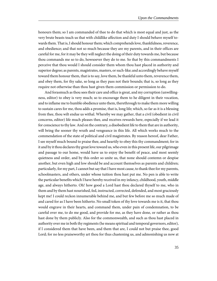honours them; so I am commanded of thee to do that which is most equal and just, as the very brute beasts teach us that with childlike affection and duty I should behave myself towards them. That is, I should honour them; which comprehends love, thankfulness, reverence, and obedience; and that not so much because they are my parents, and in their offices are careful for me, for it may be they will neglect the doing of their duty towards me, but because thou commands me so to do, howsoever they do to me. So that by this commandments I perceive that thou would I should consider them whom thou hast placed in authority and superior degree; as parents, magistrates, masters, or such-like; and accordingly behave myself toward them honour them, that is to say, love them, be thankful unto them, reverence them, and obey them, for thy sake, so long as they pass not their bounds; that is, so long as they require not otherwise than thou hast given them commission or permission to do.

And forasmuch as thou sees their care and office is great, and my corruption (unwillingness, editor) to obey is very much; so to encourage them to he diligent in their vocation, and to inflame me to humble obedience unto them, therethrough to make them more willing to sustain cares for me, thou adds a promise, that is, long life; which, so far as it is a blessing from thee, thou wilt endue us withal. Whereby we may gather, that a civil (obedient in civil concerns, editor) life much pleases thee, and receives rewards here, especially if we lead it for conscience to thy law. And on the contrary, a disobedient life to them that are in authority, will bring the sooner thy wrath and vengeance in this life. All which works much to the commendation of the state of political and civil magistrates. By reason hereof, dear Father, I see myself much bound to praise thee, and heartily to obey this thy commandment; for in it and by it thou declares thy great love toward us, who even in this present life, our pilgrimage and passage to our home, would have us to enjoy the benefit of peace, and most seemly quietness and order, and by this order so unite us, that none should contemn or despise another, but even high and low should be and account themselves as parents and children; particularly, for my part, I cannot but say that I have most cause, to thank thee for my parents, schoolmasters, and others, under whose tuition thou hast put me. No pen is able to write the particular benefits which I have hereby received in my infancy, childhood, youth, middle age, and always hitherto. Oh! how good a Lord hast thou declared thyself to me, who in them and by them hast nourished, fed, instructed, corrected, defended, and most graciously kept me! I could reckon innumerable behind me, and but few before me so much made of and cared for as I have been hitherto. No small token of thy love towards me is it, that thou would engrave in their hearts, and command them, under pain of condemnation, to be careful over me, to do me good, and provide for me, as they have done, or rather as thou hast done by them publicly. Also for the commonwealth, and such as thou hast placed in authority over me in both thy regiments (he means spiritual and temporal governors, editor), if I considered them that have been, and them that are, I could not but praise thee, good Lord; for no less praiseworthy art thou for thus chastening us, and admonishing us now at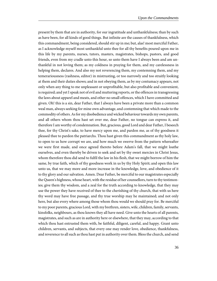present by them that are in authority, for our ingratitude and unthankfulness; than by such as have been, for all kinds of good things. But infinite are the causes of thankfulness, which this commandment, being considered, should stir up in me; but, alas! most merciful Father, as I acknowledge myself most unthankful unto thee for all thy benefits poured upon me in this life by my parents, nurses, tutors, masters, magistrates, bishops, pastors, and good friends, even from my cradle unto this hour, so unto them have I always been and am unthankful in not loving them; as my coldness in praying for them, and my carelessness in helping them, declares. And also my not reverencing them, my contemning them, and my temerariousness (rashness, editor) in mistrusting, or too narrowly and too straitly looking at them and their duties shows; and in not obeying them, as by my contumacy appears, not only when any thing to me unpleasant or unprofitable, but also profitable and convenient, is required; and yet I speak not of evil and muttering reports, or the offences in transgressing the laws about apparel and meats, and other no small offences, which I have committed and given. Oh! this is a sin, dear Father, that I always have been a private more than a common weal man, always seeking for mine own advantage, and contemning that which made to the commodity of others. As for my disobedience and wicked behaviour towards my own parents, and all others whom thou hast set over me, dear Father, no tongue can express it, and therefore I am worthy of condemnation. But, gracious, good Lord and dear Father, I beseech thee, for thy Christ's sake, to have mercy upon me, and pardon me, as of thy goodness it pleased thee to pardon the patriarchs. Thou hast given this commandment as thy holy law, to open to us how corrupt we are, and how much we swerve from the pattern whereafter we were first made, and once agreed thereto before Adam's fall, that we might loathe ourselves, and even thereby be driven to seek and set by thy sweet mercies in Christ Jesus, whom therefore thou did send to fulfil the law in his flesh, that we might borrow of him the same, by true faith, which of thy goodness work in us by thy Holy Spirit; and open this law unto us, that we may more and more increase in the knowledge, love, and obedience of it to thy glory and our salvation. Amen. Dear Father, be merciful to our magistrates especially the Queen's highness, whose heart, with the residue of her counsellors, turn to thy testimonies; give them thy wisdom, and a zeal for the truth according to knowledge, that they may use the power they have received of thee to the cherishing of thy church, that with us here thy word may have free passage, and thy true worship may he maintained; and not only here, but also every where among those whom thou would we should pray for. Be merciful to my poor parents, gracious Lord, with my brethren, sisters, wife, children, family, servants, kinsfolks, neighbours, as thou knows they all have need. Give unto the hearts of all parents, magistrates, and such as are in authority here or elsewhere, that they may, according to that which thou hast entrusted them with, be faithful, diligent, careful, and happy. Grant unto children, servants, and subjects, that every one may render love, obedience, thankfulness, and reverence to all such as thou hast put in authority over them. Bless the church, and send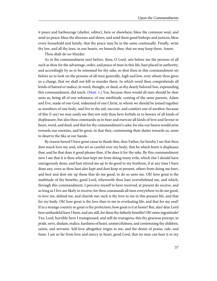it peace and harbourage (shelter, editor), here or elsewhere; bless the common weal, and send us peace; bless the dioceses and shires, and send them good bishops and justices; bless every household and family, that thy peace may be in the same continually. Finally, write thy law, and all thy laws, in our hearts, we beseech thee, that we may keep them. Amen.

Thou shalt do no Murder.

<span id="page-40-0"></span>As in the commandment next before, thou, O Lord, sets before me the persons of all such as thou for the advantage, order, and peace of man in this life, hast placed in authority, and accordingly by us to be esteemed for thy sake, so dost thou in this commandment set before us to look on the persons of all men generally, high and low, over whom thou gives us a charge, that we shall not kill or murder them. In which word thou comprehends all kinds of hatred or malice, in word, thought, or deed, as thy dearly beloved Son, expounding this commandment, did teach. ([Matt. v.](http://www.ccel.org/study/Bible:Matt.5)) Yea, because thou would all men should be dear unto us, being all of one substance, of one similitude, coming of the same parents, Adam and Eve, made of one God, redeemed of one Christ, in whom we should be joined together as members of one body, and live to the aid, succour, and comfort one of another; because of this (I say) we may easily see that not only thou here forbids us to beware of all kinds of displeasure, but also thou commands us to bear and exercise all kinds of love and favour in heart, word, and deed, and that for thy commandment's sake; for else our hearts would arise towards our enemies, and be great, in that they, contemning their duties towards us, seem to deserve the like at our hands.

By reason hereof I have great cause to thank thee, dear Father; for hereby I see that thou dost much love my soul, who art so careful over my body, that he which hurts it displeases thee, and he that does it good pleases thee, if he does it for thy sake. By this commandment now I see that it is thou who hast kept me from doing many evils, which else I should have outrageously done, and hast stirred me up to do good to my brethren, if at any time I have done any, even as thou hast also kept and dost keep at present, others from doing me hurt, and best and dost stir up those that do me good, to do so unto me. Oh! how great is the multitude of thy benefits, good Lord, wherewith thou hast overwhelmed me, and which, through this commandment, I perceive myself to have received, at present do receive, and so long as I live am likely to receive; for thou commands all men everywhere to do me good, to love me, defend me, and cherish me; such is thy love to me in this present life, and that for my body. Oh! how great is thy love then to me in everlasting life, and that for my soul! If in a strange country so great is thy protection; how great is it at home! But, alas! dear Lord how unthankful have I been, and am still, for these thy fatherly benefits! Oh! mine ingratitude! Yea, Lord, horribly have I transgressed, and still do transgress, this thy gracious precept, in pride, envy, disdain, malice, hardness of heart, unmercifulness, and contemning thy children, saints, and servants. Self-love altogether reigns in me, and the desire of praise, rule, and fame. I am so far from love and mercy in heart, good Lord, that no man can hear it in my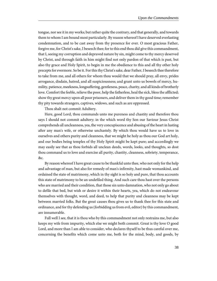tongue, nor see it in my works; but rather quite the contrary, and that generally, and towards them to whom I am bound most particularly. By reason whereof I have deserved everlasting condemnation, and to be cast away from thy presence for ever. O most gracious Father, forgive me, for Christ's sake, I beseech thee; for to this end thou did give this commandment, that I, seeing my corruption and depraved nature by sin, might come to thy mercy deserved by Christ, and through faith in him might find not only pardon of that which is past, but also thy grace and Holy Spirit, to begin in me the obedience to this and all thy other holy precepts for evermore. So be it. For this thy Christ's sake, dear Father, I beseech thee therefore to take from me, and all others for whom thou would that we should pray, all envy, prides arrogance, disdain, hatred, and all suspiciousness; and grant unto us bowels of mercy, humility, patience, meekness, longsuffering, gentleness, peace, charity, and all kinds of brotherly love. Comfort the feeble, relieve the poor, help the fatherless, heal the sick, bless the afflicted; show thy great mercy upon all poor prisoners, and deliver them in thy good time; remember thy pity towards strangers, captives, widows, and such as are oppressed.

Thou shalt not commit Adultery.

Here, good Lord, thou commands unto me pureness and chastity and therefore thou says I should not commit adultery; in the which word thy Son our Saviour Jesus Christ comprehends all uncleanness, yea, the very concupiscence and abusing of the heart in lusting after any man's wife, or otherwise unchastely. By which thou would have us to love in ourselves and others purity and cleanness, that we might he holy as thou our God art holy, and our bodies being temples of thy Holy Spirit might be kept pure; and accordingly we may easily see that as thou forbids all unclean deeds, words, looks, and thoughts, so dost thou command us to love and exercise all purity, chastity, cleanness, sobriety, temperance, &c.

By reason whereof I have great cause to be thankful unto thee, who not only for the help and advantage of man, but also for remedy of man's infirmity, hast made womankind, and ordained the state of matrimony, which in thy sight is so holy and pure, that thou accounts this state of matrimony to be an undefiled thing. And such care thou hast over the persons who are married and their condition, that those sin unto damnation, who not only go about to defile that bed, but wish or desire it within their hearts, yea, which do not endeavour themselves with thought, word, and deed, to help that purity and cleanness may be kept between married folks. But the great causes thou gives us to thank thee for this state and ordinance, and for thy defending us (forbidding us from evil, editor) by this commandment, are innumerable.

Full well I see, that it is thou who by this commandment not only restrains me, but also keeps my wife from impurity, which else we might both commit. Great is thy love O good Lord, and more than I am able to consider, who declares thyself to be thus careful over me, concerning the benefits which come unto me, both for the mind, body, and goods, by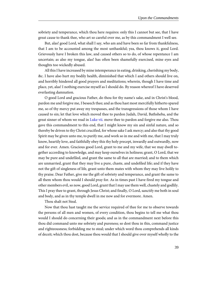sobriety and temperance, which thou here requires: only this I cannot but see, that I have great cause to thank thee, who art so careful over me, as by this commandment I well see.

But, alas! good Lord, what shall I say, who am and have been so far from thankfulness, that I am to be accounted among the most unthankful; yea, thou knows it, good Lord. Grievously have I broken this law, and caused others so to do, of whose repentance I am uncertain; as also my tongue, alas! has often been shamefully exercised, mine eyes and thoughts too wickedly abused.

All this I have increased by mine intemperance in eating, drinking, cherishing my body, &c. I have also hurt my bodily health, diminished that which I and others should live on, and horribly hindered all good prayers and meditations; wherein, though I have time and place, yet, alas! I nothing exercise myself as I should do. By reason whereof I have deserved everlasting damnation.

<span id="page-42-0"></span>O good Lord and gracious Father, do thou for thy name's sake, and in Christ's blood, pardon me and forgive me, I beseech thee; and as thou hast most mercifully hitherto spared me, so of thy mercy put away my trespasses, and the transgressions of those whom I have caused to sin; let that love which moved thee to pardon Judah, David, Bathsheba, and the great sinner of whom we read in [Luke vii.](http://www.ccel.org/study/Bible:Luke.7) move thee to pardon and forgive me also. Thou gave this commandment to this end, that I might know my sin and sinful nature, and so thereby be driven to thy Christ crucified, for whose sake I ask mercy; and also that thy good Spirit may be given unto me, to purify me, and work so in me and with me, that I may truly know, heartily love, and faithfully obey this thy holy precept, inwardly and outwardly, now and for ever. Amen. Gracious good Lord, grant to me and my wife, that we may dwell together according to knowledge, and may keep ourselves in holiness; grant, O Lord, that we may be pure and undefiled, and grant the same to all that are married; and to them which are unmarried, grant that they may live a pure, chaste, and undefiled life; and if they have not the gift of singleness of life, grant unto them mates with whom they may live holily to thy praise. Dear Father, give me the gift of sobriety and temperance, and grant the same to all them whom thou would I should pray for. As in times past I have fired my tongue and other members evil, so now, good Lord, grant that I may use them well, chastely and godlily. This I pray thee to grant, through Jesus Christ; and finally, O Lord, sanctify me both in soul and body, and as in thy temple dwell in me now and for evermore. Amen.

Thou shalt not Steal.

Now that thou hast taught me the service required of thee for me to observe towards the persons of all men and women, of every condition, thou begins to tell me what thou would I should do concerning their goods; and as in the commandment next before this thou did command unto me sobriety and pureness; so dost thou in this, command justice and righteousness; forbidding me to steal; under which word thou comprehends all kinds of deceit; which thou dost, because thou would that I should give over myself wholly to the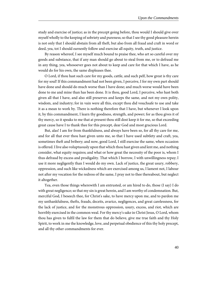study and exercise of justice; as in the precept going before, thou would I should give over myself wholly to the keeping of sobriety and pureness; so that I see thy good pleasure herein is not only that I should abstain from all theft, but also from all fraud and craft in word or deed, yea, tot I should earnestly follow and exercise all equity, truth, and justice.

By reason whereof, I see myself much bound to praise thee, who art so careful over my goods and substance, that if any man should go about to steal from me, or to defraud me in any thing, yea, whosoever goes not about to keep and care for that which I have, as he would do for his own, the same displeases thee.

O Lord, if thou hast such care for my goods, cattle, and such pelf, how great is thy care for my soul! If this commandment had not been given, I perceive, I for my own part should have done and should do much worse than I have done; and much worse would have been done to me and mine than has been done. It is thou, good Lord, I perceive, who hast both given all that I have, and also still preserves and keeps the same, and not my own polity, wisdom, and industry; for in vain were all this, except thou did vouchsafe to use and take it as a mean to work by. There is nothing therefore that I have, but whenever I look upon it, by this commandment, I learn thy goodness, strength, and power; for as thou gives it of thy mercy, so it speaks to me that at present thou still dost keep it for me, so that exceeding great cause have I to thank thee for this precept, dear God and most gracious Lord.

But, alas! I am for from thankfulness, and always have been so, for all thy care for me, and for all that ever thou hast given unto me, so that I have used subtlety and craft, yea, sometimes theft and bribery; and now, good Lord, I still exercise the same, when occasion is offered. I live also voluptuously upon that which thou hast given and lent me, and nothing consider, what equity requires; and what or how great the necessity of the poor is, whom I thus defraud by excess and prodigality. That which I borrow, I with unwillingness repay; I use it more negligently than I would do my own. Lack of justice, the great usury, robbery, oppression, and such like wickedness which are exercised among us, I lament not, I labour not after my vocation for the redress of the same, I pray not to thee thereabout, but neglect it altogether.

Yea, even those things wherewith I am entrusted, or am hired to do, those (I say) I do with great negligence; so that my sin is great herein, and I am worthy of condemnation. But, merciful God, I beseech thee, for Christ's sake, to have mercy upon me, and to pardon me my unthankfulness, thefts, frauds, deceits, avarice, negligences, and great carelessness, for the lack of justice, and for the monstrous oppression, usury, excess, and riot, which are horribly exercised in the common weal. For thy mercy's sake in Christ Jesus, O Lord, whom thou has given to fulfil the law for them that do believe, give me true faith and thy Holy Spirit, to work in me the knowledge, love, and perpetual obedience of this thy holy precept, and all thy other commandments for ever.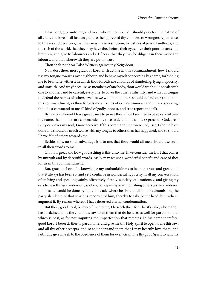Dear Lord, give unto me, and to all whom thou would I should pray for, the hatred of all craft, and love of all justice; grant to the oppressed thy comfort, to wrongers repentance; to thieves and deceivers, that they may make restitution; to justices of peace, landlords, and the rich of the world, that they may have thee before their eyes, love their poor tenants and brethren, and give to labourers and artificers, that they may be diligent in their work and labours, and that wherewith they are put in trust.

Thou shalt not bear False Witness against thy Neighbour.

Now dost thou, most gracious Lord, instruct me in this commandment, how I should use my tongue towards my neighbour, and behave myself concerning his name, forbidding me to bear false witness; in which thou forbids me all kinds of slandering, lying, hypocrisy, and untruth. And why? because, as members of one body, thou would we should speak truth one to another; and be careful, every one, to cover the other's infirmity, and with our tongue to defend the names of others, even as we would that others should defend ours; so that in this commandment, as thou forbids me all kinds of evil, calumnious and untrue speaking; thou dost command to me all kind of godly, honest, and true report and talk.

By reason whereof I have great cause to praise thee, since I see thee to be so careful over my name, that all men are commanded by thee to defend the same. O precious God, great is thy care over my soul, I now perceive. If this commandment were not, I see, I should have done and should do much worse with my tongue to others than has happened, and so should I have felt of others towards me.

Besides this, no small advantage is it to me, that thou would all men should use truth in all their words to me.

Oh! how great and how good a thing is this unto me: If we consider the hurt that comes by untruth and by deceitful words, easily may we see a wonderful benefit and care of thee for us in this commandment.

But, gracious Lord, I acknowledge my unthankfulness to be monstrous and great, and that it always has been so; and yet I continue in wonderful hypocrisy in all my conversation; often lying and speaking vainly, offensively, fleshly, subtlety, calumniously, and giving my ears to hear things slanderously spoken; not repining or admonishing others (as the slanderer) to do as he would be done by, to tell his tale where he should tell it, nor admonishing the party slandered of that which is reported of him, thereby to take better heed; but rather I augment it. By reason whereof I have deserved eternal condemnation.

But thou, good Lord, be merciful unto me, I beseech thee, for Christ's sake, whom thou hast ordained to be the end of the law to all them that do believe, as well for pardon of that which is past, as for not imputing the imperfection that remains. In his name therefore, good Lord, I beseech thee to pardon me, and give me thy Holy Spirit to open to me this law, and all thy other precepts; and so to understand them that I may heartily love them, and faithfully give myself to the obedience of them for ever. Grant me thy good Spirit to sanctify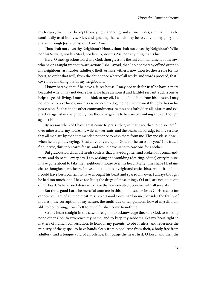my tongue, that it may be kept from lying, slandering, and all such vices; and that it may be continually used in thy service, and speaking that which may be to edify, to thy glory and praise, through Jesus Christ our Lord. Amen.

Thou shalt not covet thy Neighbour's House, thou shalt not covet thy Neighbour's Wife, nor his Servant, nor his Maid, nor his Ox, nor his Ass, nor anything that is his.

Here, O most gracious Lord and God, thou gives me the last commandment of thy law, who having taught what outward actions I shall avoid, that I do not thereby offend or undo my neighbour, as murder, adultery, theft, or false witness: now thou teaches a rule for my heart, to order that well, from the abundance whereof all works and words proceed, that I covet not any thing that is my neighbour's.

I know hereby, that if he have a fairer house, I may not wish for it: if he have a more beautiful wife, I may not desire her: if he have an honest and faithful servant, such a one as helps to get his living. I must not think to myself, I would I had him from his master. I may not desire to take his ox, nor his ass, no not his dog, no not the meanest thing he has in his possession. So that in the other commandments; as thou has forbidden all injuries and evil practice against my neighbour, now thou charges me to beware of thinking any evil thought against him.

By reason whereof I have great cause to praise thee, in that I see thee to he so careful over mine estate, my house, my wife, my servants, and the beasts that drudge for my service: that all men are by thee commanded not once to wish them from me. Thy apostle said well, when he taught us, saying, "Cast all your care upon God, for he cares for you." It is true, I find it true, thus thou cares for us, and would have us so to care one for another.

But gracious Lord, I must needs confess, that I have forgotten and broken this commandment, and do so still every day. I am wishing and woulding (desiring, editor) every minute. I have gone about to take my neighbour's house over his head. Many times have I had unchaste thoughts in my heart. I have gone about to inveigle and entice his servants from him: I could have been content to have wrought his beast and spared my own: I always thought he had too much, and I have too little; the dregs of these things, O Lord, are not quite out of my heart. Wherefore I deserve to have thy law executed upon me with all severity.

But thou, good Lord, be merciful unto me in this point also, for Jesus Christ's sake: for otherwise, I am of all men most miserable. Good Lord, pardon me, consider the frailty of my flesh, the corruption of my nature, the multitude of temptations, how of myself, I am able to do nothing; how if left to myself, I shall come to nothing.

Set my heart straight in the case of religion, to acknowledge thee one God, to worship none other God, to reverence thy name, and to keep thy sabbaths. Set my heart right in matters of human conversation, to honour my parents, to obey rulers, and reverence the ministry of the gospel; to have hands clean from blood, true from theft, a body free from adultery, and a tongue void of all offence. But purge the heart first, O Lord, and then the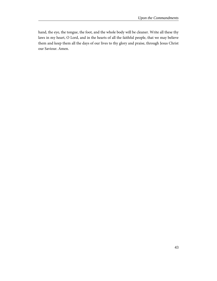hand, the eye, the tongue, the foot, and the whole body will be cleaner. Write all these thy laws in my heart, O Lord, and in the hearts of all the faithful people, that we may believe them and keep them all the days of our lives to thy glory and praise, through Jesus Christ our Saviour. Amen.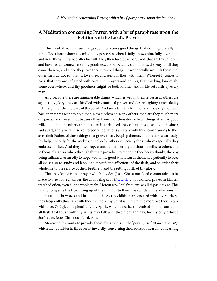#### **A Meditation concerning Prayer, with a brief paraphrase upon the Petitions of the Lord's Prayer**

The mind of man has such large room to receive good things, that nothing can fully fill it but God alone; whom thy mind fully possesses, when it fully knows him, fully loves him, and in all things is framed after his will. They therefore, dear Lord God, that are thy children, and have tasted somewhat of thy goodness, do perpetually sigh, that is, do pray, until they come thereto; and since they love thee above all things, it wonderfully wounds them that other men do not so, that is, love thee, and seek for thee, with them. Whereof it comes to pass, that they are inflamed with continual prayers and desires, that thy kingdom might come everywhere, and thy goodness might be both known, and in life set forth by every man.

And because there are innumerable things, which as well in themselves as in others are against thy glory, they are kindled with continual prayer and desire, sighing unspeakably in thy sight for the increase of thy Spirit. And sometimes, when they see thy glory more put back than it was wont to be, either in themselves or in any others, then are they much more disquieted and vexed. But because they know that thou dost rule all things after thy good will, and that none other can help them in their need, they oftentimes go aside, all business laid apart, and give themselves to godly cogitations and talk with thee, complaining to thee as to their Father, of those things that grieve them, begging thereto, and that most earnestly, thy help, not only for themselves, but also for others, especially those whom especially they embrace in thee. And they often repeat and remember thy gracious benefits to others and to themselves also; wherethrough they are provoked to render to thee hearty thanks, thereby being inflamed, assuredly to hope well of thy good will towards them, and patiently to bear all evils; also to study and labour to mortify the affections of the flesh, and to order their whole life to the service of their brethren, and the setting forth of thy glory.

<span id="page-47-0"></span>This they know is that prayer which thy Son Jesus Christ our Lord commanded to be made to thee in the chamber, the door being shut. ([Matt. vi.\)](http://www.ccel.org/study/Bible:Matt.6) In this kind of prayer he himself watched often, even all the whole night. Herein was Paul frequent, as all thy saints are. This kind of prayer is the true lifting up of the mind unto thee; this stands in the affections, in the heart, not in words and in the mouth. As thy children are endued with thy Spirit, so they frequently thus talk with thee the more thy Spirit is in them, the more are they in talk with thee. Oh! give me plentifully thy Spirit, which thou hast promised to pour out upon all flesh, that thus I with thy saints may talk with thee night and day, for thy only beloved Son's sake, Jesus Christ our Lord. Amen.

Moreover, thy saints, to provoke themselves to this kind of prayer, use first their necessity, which they consider in three sorts; inwardly, concerning their souls; outwardly, concerning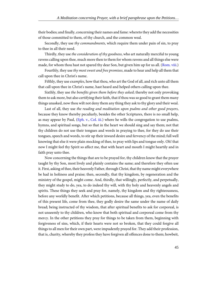their bodies; and finally, concerning their names and fame: whereto they add the necessities of those committed to them, of thy church, and the common weal.

Secondly, they use thy commandments, which require them under pain of sin, to pray to thee in all their need.

<span id="page-48-0"></span>Thirdly, they use *the consideration of thy goodness*, who art naturally merciful to young ravens calling upon thee, much more then to them for whom ravens and all things else were made, for whom thou hast not spared thy dear Son, but given him up for us all. ([Rom. viii.](http://www.ccel.org/study/Bible:Rom.8))

Fourthly, they use thy most sweet and free promises, made to hear and help all them that call upon thee in Christ's name.

Fifthly, they use *examples*, how that thou, who art the God of all, and rich unto all them that call upon thee in Christ's name, hast heard and helped others calling upon thee.

Sixthly, they use the benefits given them before they asked; thereby not only provoking them to ask more, but also certifying their faith, that if thou was so good to grant them many things unasked, now thou wilt not deny them any thing they ask to thy glory and their weal.

<span id="page-48-1"></span>Last of all, they use the reading and meditation upon psalms and other good prayers, because they know thereby peculiarly, besides the other Scriptures, there is no small help, as may appear by Paul, [\(Eph. v.,](http://www.ccel.org/study/Bible:Eph.5) [Col. iii.](http://www.ccel.org/study/Bible:Col.3)) where he wills the congregation to use psalms, hymns, and spiritual songs, but so that in the heart we should sing and say them; not that thy children do not use their tongues and words in praying to thee, for they do use their tongues, speech and words, to stir up their inward desire and fervency of the mind; full well knowing that else it were plain mocking of thee, to pray with lips and tongue only. Oh! that now I might feel thy Spirit so affect me, that with heart and mouth I might heartily and in faith pray unto thee.

Now concerning the things that are to be prayed for, thy children know that the prayer taught by thy Son, most lively and plainly contains the same; and therefore they often use it. First, asking of thee, their heavenly Father, through Christ, that thy name might everywhere be had in holiness and praise; then, secondly, that thy kingdom, by regeneration and the ministry of the gospel, might come. And, thirdly, that willingly, perfectly, and perpetually, they might study to do, yea, to do indeed thy will, with thy holy and heavenly angels and spirits. These things they seek and pray for, namely, thy kingdom and thy righteousness, before any worldly benefit. After which petitions, because all things, yea, even the benefits of this present life, come from thee, they godly desire the same under the name of daily bread; being instructed of thy wisdom, that after spiritual benefits to ask for corporeal, is not unseemly to thy children, who know that both spiritual and corporeal come from thy mercy. In the other petitions they pray for things to be taken from them, beginning with forgiveness of sins, which, if their hearts were not so broken, that they could forgive all things to all men for their own part, were impudently prayed for. They add their profession, that is, charity, whereby they profess they have forgiven all offences done to them; howbeit,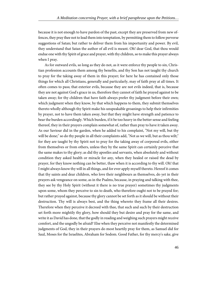because it is not enough to have pardon of the past, except they are preserved from new offences, they pray thee not to lead them into temptation, by permitting them to follow perverse suggestions of Satan; but rather to deliver them from his importunity and power. By evil, they understand that Satan the author of all evil is meant. Oh! dear God, that thou would endue one with thy Spirit of grace and prayer, with thy children, so to make this prayer always when I pray.

As for outward evils, so long as they do not, as it were enforce thy people to sin, Christian profession accounts them among thy benefits, and thy Son has not taught thy church to pray for the taking away of them in this prayer; for here he has contained only those things for which all Christians, generally and particularly, may of faith pray at all times. It often comes to pass; that exterior evils, because they are not evils indeed, that is, because they are not against God's grace in us, therefore they cannot of faith he prayed against to be taken away; for thy children that have faith always prefer thy judgment before their own; which judgment when they know, by that which happens to them, they submit themselves thereto wholly although thy Spirit make his unspeakable groanings to help their infirmities by prayer, not to have them taken away, but that they might have strength and patience to bear the burden accordingly. Which burden, if it be too heavy in the better sense and feeling thereof, they in their prayers complain somewhat of, rather than pray to have it taken away. As our Saviour did in the garden, when he added to his complaint, "Not my will, but thy will be done;" so do thy people in all their complaints add, "Not as we will, but as thou wilt;" for they are taught by thy Spirit not to pray for the taking away of corporeal evils, either from themselves or from others, unless they by the same Spirit can certainly perceive that the same makes to thy glory; as did thy apostles and servants, when absolutely and without condition they asked health or miracle for any, when they healed or raised the dead by prayer, for they know nothing can be better, thaw when it is according to thy will. Oh! that I might always know thy will in all things, and for ever apply myself thereto. Hereof it comes that thy saints and dear children, who love their neighbours as themselves, do yet in their prayers ask vengeance on some, as in the Psalms, because, in praying and talking with thee, they see by thy Holy Spirit (without it there is no true prayer) sometimes thy judgments upon some, whom they perceive to sin to death, who therefore ought not to be prayed for; but rather prayed against, because thy glory cannot be set forth as it should be without their destruction. Thy will is always best, and the thing whereto they frame all their desires. Therefore when they perceive it decreed with thee, that such and such by their destruction set forth more mightily thy glory, how should they but desire and pray for the same, and write it as David has done, that the godly in reading and weighing such prayers might receive comfort, and the ungodly be afraid? Else when they perceive not manifestly the determined judgments of God, they in their prayers do most heartily pray for them, as Samuel did for Saul, Moses for the Israelites, Abraham for Sodom. Good Father, for thy mercy's sake, give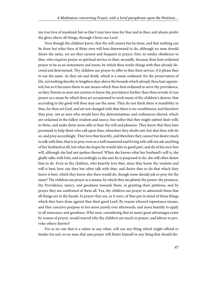me true love of mankind; but so that I may love man for thee and in thee, and always prefer thy glory above all things, through Christ our Lord.

Now though thy children know, that thy will cannot but be done, and that nothing can be done but what thou of thine own will hast determined to do, although no man should desire the same, yet are they earnest and frequent in prayer; first, to render obedience to thee, who requires prayer as spiritual service to thee; secondly, because thou hast ordained prayer to be as an instrument and mean, by which thou works things with thee already decreed and determined. Thy children use prayer to offer to thee their service, if it please thee to use the same. As they eat and drink, which is a mean ordained, for the preservation of life, not looking thereby to lengthen days above the bounds which already thou hast appointed; but as it becomes them to use means which thou hast ordained to serve thy providence, so they (herein as men not curious to know thy providence further than thou reveals it) use prayer as a mean by which thou art accustomed to work many of thy children's desires, that according to thy good will thou may use the same. They do not think there is mutability in thee, for thou art God, and art not changed with thee there is no variableness, and therefore they pray, not as men who would have thy determinations and ordinances altered, which are ordained in the fullest wisdom and mercy, but rather that they might submit their wills to thine, and make them more able to bear thy will and pleasure. They know that thou hast promised to help them who call upon thee; wherefore they doubt not, but that thou wilt do so, and pray accordingly. They love thee heartily, and therefore they cannot but desire much to talk with thee, that is to pray even as a well mannered and loving wife will not ask anything of her husband at all, but what she hopes he would take in good part, and do of his own free will, although she had not spoken thereof. When she knows what her husband's will is, she gladly talks with him, and accordingly as she sees he is purposed to do, she will often desire him to do. Even so thy children, who heartily love thee, since they know thy wisdom and will is best; how can they but often talk with thee, and desire thee to do that which they know is best, which they know also thou would do, though none should ask or pray for the same? Thy children use prayer as a means, by which they see plainly thy power, thy presence, thy Providence, mercy, and goodness towards them, in granting their petitions, and by prayer they are confirmed of them all. Yea, thy children use prayer to admonish them that all things are in thy hands. In prayer they are, as it were, of thee put in mind of those things which they have done against thee their good Lord. By reason whereof repentance ensues, and they conceive purpose to live more purely ever afterwards, and more heartily to apply to all innocence and goodness. Who now, considering that so many great advantages come by reason of prayer, would marvel why thy children are much in prayer, and labour to provoke others thereto?

For as no one that is a suitor to any other, will use any thing which might offend or hinder his suit, so no man that uses prayer will flatter himself in any thing that should dis-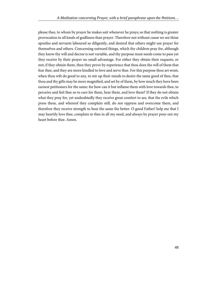please thee, to whom by prayer he makes suit whenever he prays; so that nothing is greater provocation to all kinds of godliness than prayer. Therefore not without cause we see thine apostles and servants laboured so diligently, and desired that others might use prayer for themselves and others. Concerning outward things, which thy children pray for, although they know thy will and decree is not variable, and thy purpose must needs come to pass yet they receive by their prayer no small advantage. For either they obtain their requests, or not; if they obtain them, then they prove by experience that thou does the will of them that fear thee, and they are more kindled to love and serve thee. For this purpose thou art wont, when thou wilt do good to any, to stir up their minds to desire the same good of thee, that thou and thy gifts may be more magnified, and set by of them, by how much they have been earnest petitioners for the same: for how can it but inflame them with love towards thee, to perceive and feel thee so to care for them, hear them, and love them? If they do not obtain what they pray for, yet undoubtedly they receive great comfort to see, that the evils which press them, and whereof they complain still, do not oppress and overcome them, and therefore they receive strength to bear the same the better. O good Father! help me that I may heartily love thee, complain to thee in all my need, and always by prayer pour out my heart before thee. Amen.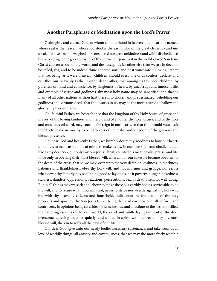### **Another Paraphrase or Meditation upon the Lord's Prayer**

O almighty and eternal God, of whom all fatherhood in heaven and in earth is named, whose seat is the heaven, whose footstool is the earth, who of thy great clemency and unspeakable love hast not weighed nor considered our great unkindness and wilful disobedience, but according to the good pleasure of thy eternal purpose hast in thy well-beloved Son Jesus Christ chosen us out of the world, and dost accept us far otherwise than we are in deed; to be called, yea, and to be indeed thine adopted sons; and dost vouchsafe, O loving Father, that we, being, as it were, heavenly children, should every one of us confess, declare, and call thee our heavenly Father. Grant, dear Father, that among us thy poor children, by pureness of mind and conscience, by singleness of heart, by uncorrupt and innocent life, and example of virtue and godliness, thy most holy name may be sanctified; and that so many of all other nations as thou hast thereunto chosen and predestinated, beholding our godliness and virtuous deeds that thou works in us, may be the more stirred to hallow and glorify thy blessed name.

Oh! faithful Father, we beseech thee that the kingdom of thy Holy Spirit, of grace and prayer, of thy loving kindness and mercy, and of all other thy holy virtues, and of thy holy and most blessed word, may continually reign in our hearts, so that thou would vouchsafe thereby to make us worthy to be partakers of the realm and kingdom of thy glorious and blessed presence.

Oh! dear God and heavenly Father, we humbly desire thy goodness to bow our hearts unto thee, to make us humble of mind, to make us low in our own sight and obedient, that, like as thy dear Son, our only Saviour Jesus Christ, counted his meat, works, praise, and life, to be only in obeying their most blessed will, wherein for our sakes he became obedient to the death of the cross, that so we may, even unto the very death, in lowliness, in meekness, patience and thankfulness, obey thy holy will, and not murmur and grudge, nor refuse whatsoever thy fatherly pity shall think good to lay on us, be it poverty, hunger, nakedness, sickness, slanders, oppressions, vexations, persecutions, yea, or death itself, for well-doing. But in all things may we seek and labour to make these our earthly bodies serviceable to do thy will, and to refuse what thou wills not, never to strive nor wrestle against thy holy will, but with thy heavenly citizens and household, built upon the foundation of thy holy prophets and apostles, thy Son Jesus Christ being the head corner-stone; all self-will and controversy in opinions being set aside; the lusts, desires, and affections of the flesh mortified; the flattering assaults of the vain world, the cruel and subtle layings in wait of the devil overcome; agreeing together quietly, and united in spirit, we may freely obey thy most blessed will, therein to walk all the days of our life.

Oh! dear God, give unto our needy bodies necessary sustenance, and take from us all love of worldly things, all anxiety and covetousness, that we may the more freely worship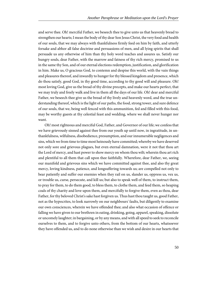and serve thee. Oh! merciful Father, we beseech thee to give unto us that heavenly bread to strengthen our hearts; I mean the body of thy dear Son Jesus Christ, the very food and health of our souls, that we may always with thankfulness firmly feed on him by faith, and utterly forsake and abhor all false doctrine and persuasions of men, and all lying spirits that shall persuade us any otherwise of him than thy holy word teaches and assures us. Satisfy our hungry souls, dear Father, with the marrow and fatness of thy rich mercy, promised to us in the same thy Son, and of our eternal elections redemption, justification, and glorification in him. Make us, O gracious God, to contemn and despise this world, with the vain things and pleasures thereof, and inwardly to hunger for thy blessed kingdom and presence, which do thou satisfy, good God, in thy good time, according to thy good will and pleasure. Oh! most loving God, give us the bread of thy divine precepts, and make our hearts perfect, that we may truly and freely walk and live in them all the days of our life. Oh! dear and merciful Father, we beseech thee give us the bread of thy lively and heavenly word, and the true understanding thereof, which is the light of our paths, the food, strong tower, and sure defence of our souls, that we, being well fenced with this ammunition, fed and filled with this food, may be worthy guests at thy celestial feast and wedding, where we shall never hunger nor want.

Oh! most righteous and merciful God, Father, and Governor of our life; we confess that we have grievously sinned against thee from our youth up until now, in ingratitude, in unthankfulness, wilfulness, disobedience, presumption, and our innumerable negligences and sins, which we from time to time most heinously have committed; whereby we have deserved not only sore and grievous plagues, but even eternal damnation, were it not that thou art the Lord of mercy, and hast power to show mercy on whom thou wilt; wherein thou art rich and plentiful to all them that call upon thee faithfully. Wherefore, dear Father, we, seeing our manifold and grievous sins which we have committed against thee, and also thy great mercy, loving kindness, patience, and longsuffering towards us; are compelled not only to bear patiently and suffer our enemies when they rail on us, slander us, oppress us, vex us, or trouble us, curse, persecute, and kill us; but also to speak well of them, to instruct them, to pray for them, to do them good, to bless them, to clothe them, and feed them, so heaping coals of thy charity and love upon them, and mercifully to forgive them, even as thou, dear Father, for thy beloved Christ's sake hast forgiven us. Thus hast thou taught us, good Father, not as the hypocrites, to look narrowly on our neighbours' faults, but diligently to examine our own consciences, wherein we have offended thee; and also what occasion of offence or falling we have given to our brethren in eating, drinking, going, apparel, speaking, dissolute or uncomely laughter; in bargaining, or by any means, and with all speed to seek to reconcile ourselves to them, and to forgive unto others, from the bottom of our hearts, whatsoever they have offended us, and to do none otherwise than we wish and desire in our hearts that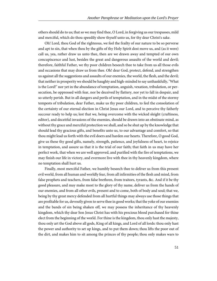others should do to us; that so we may find thee, O Lord, in forgiving us our trespasses, mild and merciful, which do thou speedily show thyself unto us, for thy dear Christ's sake.

Oh! Lord, thou God of the righteous, we feel the frailty of our nature to be so perverse and apt to sin, that when thou by the gifts of thy Holy Spirit dost move us, and (as it were) call us, yea, rather draw us unto thee, then are we drawn away and tempted of our own concupiscence and lust, besides the great and dangerous assaults of the world and devil; therefore, faithful Father, we thy poor children beseech thee to take from us all those evils and occasions that may draw us from thee. Oh! dear God, protect, defend, and strengthen us against all the suggestions and assaults of our enemies, the world, the flesh, and the devil; that neither in prosperity we should be haughty and high-minded to say unthankfully, "What is the Lord!" nor yet in the abundance of temptation, anguish, vexation, tribulation, or persecution, be oppressed with fear, nor be deceived by flattery, nor yet to fall in despair, and so utterly perish. But in all dangers and perils of temptation, and in the midst of the stormy tempests of tribulation, dear Father, make us thy poor children, to feel the consolation of the certainty of our eternal election in Christ Jesus our Lord, and to perceive thy fatherly succour ready to help us; lest that we, being overcome with the wicked sleight (craftiness, editor), and deceitful invasions of the enemies, should be drawn into an obstinate mind, as without thy grace and merciful protection we shall, and so be shut up by the knowledge that should lead thy gracious gifts, and benefits unto us, to our advantage and comfort, so that thou might lead us forth with the evil doers and harden our hearts. Therefore, O good God, give us these thy good gifts, namely, strength, patience, and joyfulness of heart, to rejoice in temptation, and assure us that it is the trial of our faith; that faith in us may have her perfect work, that when we are well approved, and purified with the fire of temptations, we may finish our life in victory, and evermore live with thee in thy heavenly kingdom, where no temptation shall hurt us.

Finally, most merciful Father, we humbly beseech thee to deliver us from this present evil world, from all human and worldly fear, from all infirmities of the flesh and mind, from false prophets and teachers, from false brethren, from traitors, tyrants, &c. And if it be thy good pleasure, and may make most to the glory of thy name, deliver us from the hands of our enemies, and from all other evils, present and to come, both of body and soul; that we, being by thy great mercy defended from all hurtful things may always use those things that are profitable for us, devoutly given to serve thee in good works; that the yoke of our enemies and the bands of sin being shaken off, we may possess the inheritance of thy heavenly kingdom, which thy dear Son Jesus Christ has with his precious blood purchased for thine elect from the beginning of the world. For thine is the kingdom, thou only hast the majesty, thou only art the God above all gods, King of all kings, and Lord of all lords: thou only hast the power and authority to set up kings, and to put them down; thou lifts the poor out of the dirt, and makes him to sit among the princes of thy people; thou only makes wars to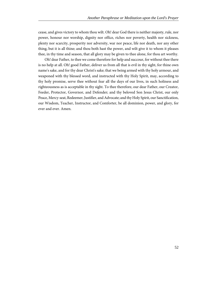cease, and gives victory to whom thou wilt. Oh! dear God there is neither majesty, rule, nor power, honour nor worship, dignity nor office, riches nor poverty, health nor sickness, plenty nor scarcity, prosperity nor adversity, war nor peace, life nor death, nor any other thing, but it is all thine; and thou both hast the power, and wilt give it to whom it pleases thee, in thy time and season, that all glory may be given to thee alone, for thou art worthy.

Oh! dear Father, to thee we come therefore for help and succour, for without thee there is no help at all. Oh! good Father, deliver us from all that is evil in thy sight, for thine own name's sake, and for thy dear Christ's sake; that we being armed with thy holy armour, and weaponed with thy blessed word, and instructed with thy Holy Spirit, may, according to thy holy promise, serve thee without fear all the days of our lives, in such holiness and righteousness as is acceptable in thy sight. To thee therefore, our dear Father, our Creator, Feeder, Protector, Governor, and Defender; and thy beloved Son Jesus Christ, our only Peace, Mercy-seat, Redeemer, Justifier, and Advocate; and thy Holy Spirit, our Sanctification, our Wisdom, Teacher, Instructor, and Comforter, be all dominion, power, and glory, for ever and ever. Amen.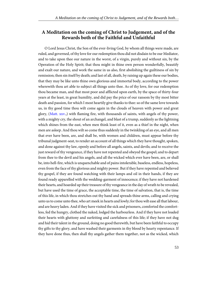#### **A Meditation on the coming of Christ to Judgement, and of the Rewards both of the Faithful and Unfaithful**

<span id="page-56-0"></span>O Lord Jesus Christ, the Son of the ever-living God, by whom all things were made, are ruled, and governed, of thy love for our redemption thou did not disdain to be our Mediator, and to take upon thee our nature in the worst, of a virgin, purely and without sin, by the Operation of the Holy Spirit; that thou might in thine own person wonderfully, beautify and exalt our nature, and work the same in us also, first abolishing the guiltiness of sin by remission; then sin itself by death; and last of all, death, by raising up again these our bodies, that they may be like unto thine own glorious and immortal body, according to the power wherewith thou art able to subject all things unto thee. As of thy love, for our redemption thou became man, and that most poor and afflicted upon earth, by the space of thirty-four years at the least, in great humility, and did pay the price of our ransom by thy most bitter death and passion, for which I most heartily give thanks to thee: so of the same love towards us, in thy good time thou wilt come again in the clouds of heaven with power and great glory, [\(Matt. xxv.](http://www.ccel.org/study/Bible:Matt.25),) with flaming fire, with thousands of saints, with angels of thy power, with a mighty cry, the shout of an archangel, and blast of a trump, suddenly as the lightning which shines from the east, when men think least of it, even as a thief in the night, when men are asleep. And thou wilt so come thus suddenly in the twinkling of an eye, and all men that ever have been, are, and shall be, with women and children, must appear before thy tribunal judgment-seat, to render an account of all things which they have thought, spoken, and done against thy law, openly and before all angels, saints, and devils; and to receive the just reward of thy vengeance, if they have not repented and obeyed the gospel; and to depart from thee to the devil and his angels, and all the wicked which ever have been, are, or shall be, into hell-fire, which is unquenchable and of pains intolerable, baseless, endless, hopeless, even from the face of thy glorious and mighty power. But if they have repented and believed thy gospel, if they are found watching with their lamps and oil in their hands, if they are found ready apparelled with the wedding-garment of innocence; if they have not hardened their hearts, and hoarded up their treasure of thy vengeance in the day of wrath to be revealed, but have used the time of grace, the acceptable time, the time of salvation, that is, the time of this life, in which thou stretches out thy hand and spreads thine arms, calling and crying unto us to come unto thee, who art meek in hearts and lowly; for thou wilt ease all that labour, and are heavy laden. And if they have visited the sick and prisoners, comforted the comfortless, fed the hungry, clothed the naked, lodged the harbourless. And if they have not loaded their hearts with gluttony and surfeiting and carefulness of this life; if they have not dug and hid their talent in the ground, doing no good therewith, but have been faithful to occupy thy gifts to thy glory, and have washed their garments in thy blood by hearty repentance. If they have done thus, then shall thy angels gather them together, not as the wicked, which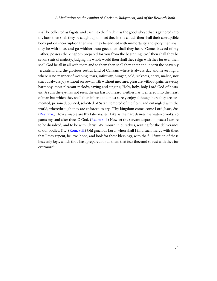<span id="page-57-2"></span><span id="page-57-1"></span><span id="page-57-0"></span>shall be collected as fagots, and cast into the fire, but as the good wheat that is gathered into thy barn then shall they be caught up to meet thee in the clouds then shall their corruptible body put on incorruption then shall they be endued with immortality and glory then shall they be with thee, and go whither thou goes then shall they hear, "Come, blessed of my Father, possess the kingdom prepared for you from the beginning, &c." then shall they be set on seats of majesty, judging the whole world then shall they reign with thee for ever then shall God be all in all with them and to them then shall they enter and inherit the heavenly Jerusalem, and the glorious restful land of Canaan; where is always day and never night, where is no manner of weeping, tears, infirmity, hunger, cold, sickness, entry, malice, nor sin; but always joy without sorrow, mirth without measure, pleasure without pain, heavenly harmony, most pleasant melody, saying and singing, Holy, holy, holy Lord God of hosts, &c. A sum the eye has not seen, the ear has not heard, neither has it entered into the heart of man but which they shall then inherit and most surely enjoy although here they are tormented, prisoned, burned, solicited of Satan, tempted of the flesh, and entangled with the world, wherethrough they are enforced to cry, "Thy kingdom come, come Lord Jesus, &c. ([Rev. xxii.](http://www.ccel.org/study/Bible:Rev.22)) How amiable are thy tabernacles! Like as the hart desires the water-brooks, so pants my soul after thee, O God. ([Psalm xiii.\)](http://www.ccel.org/study/Bible:Ps.13) Now let thy servant depart in peace; I desire to be dissolved, and to be with Christ. We mourn in ourselves, waiting for the deliverance of our bodies, &c." [\(Rom. viii.](http://www.ccel.org/study/Bible:Rom.8)) Oh! gracious Lord, when shall I find such mercy with thee, that I may repent, believe, hope, and look for these blessings, with the full fruition of these heavenly joys, which thou hast prepared for all them that fear thee and so rest with thee for evermore?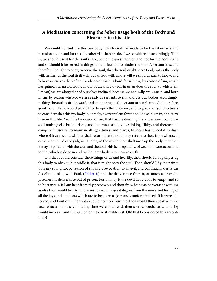#### **A Meditation concerning the Sober usage both of the Body and Pleasures in this Life**

We could not but use this our body, which God has made to be the tabernacle and mansion of our soul for this life, otherwise than are do, if we considered it accordingly. That is, we should use it for the soul's sake, being the guest thereof, and not for the body itself, and so should it be served in things to help, but not to hinder the soul. A servant it is, and therefore it ought to obey, to serve the soul, that the soul might serve God; not as the body will, neither as the soul itself will, but as God will; whose will we should learn to know, and behave ourselves thereafter. To observe which is hard for us now, by reason of sin, which has gained a mansion-house in our bodies, and dwells in us, as does the soul; to which (sin I mean) we are altogether of ourselves inclined, because we naturally are sinners, and born in sin; by reason whereof we are ready as servants to sin, and use our bodies accordingly, making the soul to sit at reward, and pampering up the servant to our shame. Oh! therefore, good Lord, that it would please thee to open this unto me, and to give me eyes effectually to consider what this my body is, namely, a servant lent for the soul to sojourn in, and serve thee in this life. Yea, it is by reason of sin, that has his dwelling there, become now to the soul nothing else but a prison, and that most strait, vile, stinking, filthy, and therefore in danger of miseries, to many in all ages, times, and places, till dead has turned it to dust, whereof it came, and whither shall return; that the soul may return to thee, from whence it came, until the day of judgment come, in the which thou shalt raise up the body, that then it may be partaker with the soul, and the soul with it, inseparably, of wealth or woe, according to that which is done in and by the same body here now in earth.

<span id="page-58-0"></span>Oh! that I could consider these things often and heartily, then should I not pamper up this body to obey it, but bridle it, that it might obey the soul. Then should I fly the pain it puts my soul unto, by reason of sin and provocation to all evil, and continually desire the dissolution of it, with Paul, [\(Philip. i.](http://www.ccel.org/study/Bible:Phil.1)) and the deliverance from it, as much as ever did prisoner his deliverance out of prison. For only by it the devil has a door to tempt, and so to hurt me; in it I am kept from thy presence, and thou from being so conversant with me as else thou would be. By it I am restrained in a great degree from the sense and feeling of all the joys and comforts which are to be taken as joys and comforts indeed. If it were dissolved, and I out of it, then Satan could no more hurt me; then would thou speak with me face to face; then the conflicting time were at an end; then sorrow would cease, and joy would increase, and I should enter into inestimable rest. Oh! that I considered this accordingly!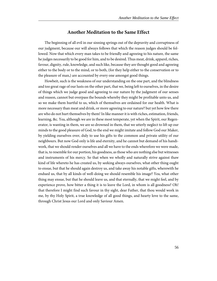#### **Another Meditation to the Same Effect**

The beginning of all evil in our sinning springs out of the depravity and corruptness of our judgment, because our will always follows that which the reason judges should be followed. Now that which every man takes to be friendly and agreeing to his nature, the same he judges necessarily to be good for him, and to be desired. Thus meat, drink, apparel, riches, favour, dignity, rule, knowledge, and such like, because they are thought good and agreeing either to the body or to the mind, or to both, (for they help either to the conservation or to the pleasure of man,) are accounted by every one amongst good things.

Howbeit, such is the weakness of our understanding on the one part, and the blindness and too great rage of our lusts on the other part, that we, being left to ourselves, in the desire of things which we judge good and agreeing to our nature by the judgment of our senses and reason, cannot but overpass the bounds whereby they might be profitable unto us, and so we make them hurtful to us, which of themselves are ordained for our health. What is more necessary than meat and drink, or more agreeing to our nature? but yet how few there are who do not hurt themselves by them! In like manner it is with riches, estimation, friends, learning, &c. Yea, although we are in these most temperate, yet when the Spirit, our Regenerator, is wanting in them, we are so drowned in them, that we utterly neglect to lift up our minds to the good pleasure of God, to the end we might imitate and follow God our Maker, by yielding ourselves over, duly to use his gifts to the common and private utility of our neighbours. But now God only is life and eternity, and he cannot but demand of his handiwork, that we should render ourselves and all we have to the ends wherefore we were made, that is, to resemble for our portion, his goodness, as those who are nothing else but witnesses and instruments of his mercy. So that when we wholly and naturally strive against thaw kind of life whereto he has created us, by seeking always ourselves, what other thing ought to ensue, but that he should again destroy us, and take away his notable gifts, wherewith he endued us, that by all kinds of well-doing we should resemble his image? Yea, what other thing may ensue, but that he should leave us, and that eternally, that we might feel, and by experience prove, how bitter a thing it is to leave the Lord, in whom is all goodness? Oh! that therefore I might find such favour in thy sight, dear Father, that thou would work in me, by thy Holy Spirit, a true knowledge of all good things, and hearty love to the same, through Christ Jesus our Lord and only Saviour Amen.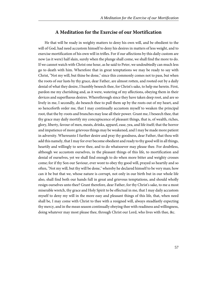#### **A Meditation for the Exercise of our Mortification**

He that will be ready in weighty matters to deny his own will, and be obedient to the will of God, had need accustom himself to deny his desires in matters of less weight, and to exercise mortification of his own will in trifles. For if our affections by this daily custom are now (as it were) half slain, surely when the plunge shall come, we shall find the more to do. If we cannot watch with Christ one hour, as he said to Peter, we undoubtedly can much less go to death with him. Wherefore that in great temptations we may be ready to say with Christ, "Not my will, but thine be done," since this commonly comes not to pass, but when the roots of our lusts by thy grace, dear Father, are almost rotten, and rooted out by a daily denial of what they desire, I humbly beseech thee, for Christ's sake, to help me herein. First, pardon me my cherishing and, as it were, watering of my affections, obeying them in their devices and superfluous desires. Wherethrough since they have taken deep root, and are so lively in me, I secondly, do beseech thee to pull them up by the roots out of my heart, and so henceforth order me, that I may continually accustom myself to weaken the principal root, that the by-roots and branches may lose all their power. Grant me, I beseech thee, that thy grace may daily mortify my concupiscence of pleasant things, that is, of wealth, riches, glory, liberty, favour of men, meats, drinks, apparel, ease, yea, and life itself; that the horror and impatience of more grievous things may be weakened, and I may be made more patient in adversity. Whereunto I further desire and pray thy goodness, dear Father, that thou wilt add this namely, that I may for ever become obedient and ready to thy good will in all things, heartily and willingly to serve thee, and to do whatsoever may please thee. For doubtless, although we accustom ourselves, in the pleasant things of this life, to mortification and denial of ourselves, yet we shall find enough to do when more bitter and weighty crosses come; for if thy Son our Saviour, ever wont to obey thy good will, prayed so heartily and so often, "Not my will, but thy will be done," whereby he declared himself to be very man; how can it be but that we, whose nature is corrupt, not only in our birth but in our whole life also, shall find both our hands full in great and grievous temptations, and should wholly resign ourselves unto thee? Grant therefore, dear Father, for thy Christ's sake, to me a most miserable wretch, thy grace and Holy Spirit to be effectual in me, that I may daily accustom myself to deny my will in the more easy and pleasant things of this life, that, when need shall be, I may come with Christ to thee with a resigned will, always steadfastly expecting thy mercy, and in the mean season continually obeying thee with readiness and willingness, doing whatever may most please thee, through Christ our Lord, who lives with thee, &c.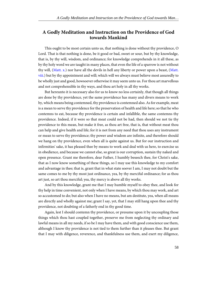#### **A Godly Meditation and Instruction on the Providence of God towards Mankind**

<span id="page-61-0"></span>This ought to be most certain unto us, that nothing is done without thy providence, O Lord. That is that nothing is done, be it good or bad, sweet or sour, but by thy knowledge, that is, by thy will, wisdom, and ordinance; for knowledge comprehends in it all these, as by thy holy word we are taught in many places, that even the life of a sparrow is not without thy will, [\(Matt. x.\)](http://www.ccel.org/study/Bible:Matt.10) nor have all the devils in hell any liberty or power upon a beast, [\(Matt.](http://www.ccel.org/study/Bible:Matt.8) [viii.](http://www.ccel.org/study/Bible:Matt.8)) but by thy appointment and will; which will we always must believe most assuredly to be wholly just and good, howsoever otherwise it may seem unto us. For thou art marvellous and not comprehensible in thy ways, and thou art holy in all thy works.

But hereunto it is necessary also for us to know no less certainly, that though all things are done by thy providence, yet the same providence has many and divers means to work by, which means being contemned, thy providence is contemned also. As for example, meat is a mean to serve thy providence for the preservation of health and life here; so that he who contemns to eat, because thy providence is certain and infallible, the same contemns thy providence. Indeed, if it were so that meat could not be had, then should we not tie thy providence to this mean, but make it free, as thou art free, that is, that without meat thou can help and give health and life; for it is not from any need that thou uses any instrument or mean to serve thy providence; thy power and wisdom are infinite, and therefore should we hang on thy providence, even when all is quite against us. But for our instruction and infirmities' sake, it has pleased thee by means to work and deal with us here, to exercise us in obedience, and because we cannot else, so great is our corruption, sustain thy naked and open presence. Grant me therefore, dear Father, I humbly beseech thee, for Christ's sake, that as I now know something of these things, so I may use this knowledge to my comfort and advantage in thee; that is, grant that in what state soever I am, I may not doubt but the same comes to me by thy most just ordinance, yea, by thy merciful ordinance; for as thou art just, so art thou merciful; yea, thy mercy is above all thy works.

And by this knowledge, grant me that I may humble myself to obey thee, and look for thy help in time convenient, not only when I have means, by which thou may work, and art so accustomed to do; but also when I have no means, but am destitute, yea, when all means are directly and wholly against me; grant I say, yet, that I may still hang upon thee and thy providence, not doubting of a fatherly end in thy good time.

Again, lest I should contemn thy providence, or presume upon it by uncoupling those things which thou hast coupled together, preserve me from neglecting thy ordinary and lawful means in all my needs, if so be I may have them, and with good conscience use them, although I know thy providence is not tied to them further than it pleases thee. But grant that I may with diligence, reverence, and thankfulness use them, and exert my diligence,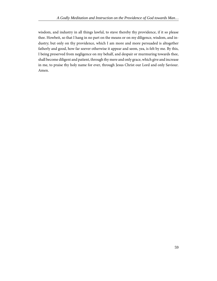wisdom, and industry in all things lawful, to stave thereby thy providence, if it so please thee. Howbeit, so that I hang in no part on the means or on my diligence, wisdom, and industry; but only on thy providence, which I am more and more persuaded is altogether fatherly and good, how far soever otherwise it appear and seem, yea, is felt by me. By this, I being preserved from negligence on my behalf, and despair or murmuring towards thee, shall become diligent and patient, through thy mere and only grace, which give and increase in me, to praise thy holy name for ever, through Jesus Christ our Lord and only Saviour. Amen.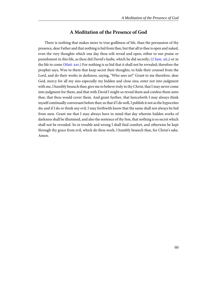#### **A Meditation of the Presence of God**

<span id="page-63-1"></span><span id="page-63-0"></span>There is nothing that makes more to true godliness of life, than the persuasion of thy presence, dear Father and that nothing is hid from thee, but that all to thee is open and naked, even the very thoughts which one day thou wilt reveal and open, either to our praise or punishment in this life, as thou did David's faults, which he did secretly; [\(2 Sam. xii.](http://www.ccel.org/study/Bible:2Sam.12);) or in the life to come ([Matt. xxv.\)](http://www.ccel.org/study/Bible:Matt.25) For nothing is so hid that it shall not be revealed; therefore the prophet says, Woe to them that keep secret their thoughts, to hide their counsel from the Lord, and do their works in darkness, saying, "Who sees us?" Grant to me therefore, dear God, mercy for all my sins especially my hidden and close sins; enter not into judgment with me, I humbly beseech thee; give me to believe truly in thy Christ, that I may never come into judgment for them, and that with David I might so reveal them and confess them unto thee, that thou would cover them. And grant further, that henceforth I may always think myself continually conversant before thee; so that if I do well, I publish it not as the hypocrites do; and if I do or think any evil, I may forthwith know that the same shall not always be hid from men. Grant me that I may always have in mind that day wherein hidden works of darkness shall be illumined, and also the sentence of thy Son, that nothing is so secret which shall not be revealed. So in trouble and wrong I shall find comfort, and otherwise be kept through thy grace from evil, which do thou work, I humbly beseech thee, for Christ's sake. Amen.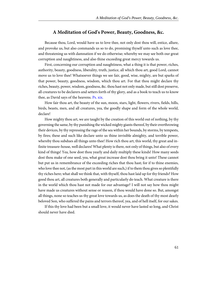#### **A Meditation of God's Power, Beauty, Goodness, &c.**

Because thou, Lord, would have us to love thee, not only dost thou will, entice, allure, and provoke us, but also commands us so to do, promising thyself unto such as love thee, and threatening us with damnation if we do otherwise; whereby we may see both our great corruption and naughtiness, and also thine exceeding great mercy towards us.

First, concerning our corruption and naughtiness, what a thing it is that power, riches, authority, beauty, goodness, liberality, truth, justice, all which thou art, good Lord, cannot move us to love thee! Whatsoever things we see fair, good, wise, mighty, are but sparks of that power, beauty, goodness, wisdom, which thou art. For that thou might declare thy riches, beauty, power, wisdom, goodness, &c. thou hast not only made, but still dost preserve, all creatures to be declarers and setters forth of thy glory, and as a book to teach us to know thee, as David says of the heavens. [Ps. xix.](http://www.ccel.org/study/Bible:Ps.19)

<span id="page-64-0"></span>How fair thou art, the beauty of the sun, moon, stars, light, flowers, rivers, fields, hills, birds, beasts, men, and all creatures, yea, the goodly shape and form of the whole world, declare!

How mighty thou art, we are taught by the creation of this world out of nothing, by thy governing the same, by thy punishing the wicked mighty giants thereof, by their overthrowing their devices, by thy repressing the rage of the sea within her bounds, by storms, by tempests, by fires; these and such like declare unto us thine invisible almighty, and terrible power, whereby thou subdues all things unto thee! How rich thou art, this world, thy great and infinite treasure-house, well declares! What plenty is there, not only of things, but also of every kind of things! Yea, how dost thou yearly and daily multiply these kinds! How many seeds dost thou make of one seed, yea, what great increase dost thou bring it unto! These cannot but put us in remembrance of the exceeding riches that thou hast; for if to thine enemies, who love thee not, (as the most part in this world are such,) if to them thou gives so plentifully thy riches here; what shall we think that, with thyself, thou hast laid up for thy friends? How good thou art, all creatures both generally and particularly do teach. What creature is there in the world which thou hast not made for our advantage? I will not say how thou might have made us creatures without sense or reason, if thou would have done so. But, amongst all things, none so teaches us thy great love towards us, as does the death of thy most dearly beloved Son, who suffered the pains and terrors thereof, yea, and of hell itself, for our sakes.

If this thy love had been but a small love, it would never have lasted so long, and Christ should never have died.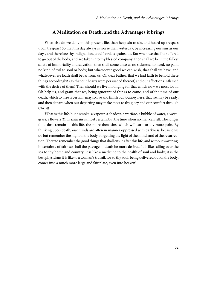#### **A Meditation on Death, and the Advantages it brings**

What else do we daily in this present life, than heap sin to sin, and hoard up trespass upon trespass? So that this day always is worse than yesterday, by increasing our sins as our days, and therefore thy indignation, good Lord, is against us. But when we shall be suffered to go out of the body, and are taken into thy blessed company, then shall we be in the fullest safety of immortality and salvation; then shall come unto us no sickness, no need, no pain, no kind of evil to soul or body; but whatsoever good we can wish, that shall we have, and whatsoever we loath shall be far from us. Oh dear Father, that we had faith to behold these things accordingly! Oh that our hearts were persuaded thereof, and our affections inflamed with the desire of them! Then should we live in longing for that which now we most loath. Oh help us, and grant that we, being ignorant of things to come, and of the time of our death, which to thee is certain, may so live and finish our journey here, that we may be ready, and then depart, when our departing may make most to thy glory and our comfort through Christ!

What is this life, but a smoke, a vapour, a shadow, a warfare, a bubble of water, a word, grass, a flower? *Thou shalt die* is most certain, but the time when no man can tell. The longer thou dost remain in this life, the more thou sins, which will turn to thy more pain. By thinking upon death, our minds are often in manner oppressed with darkness, because we do but remember the night of the body, forgetting the light of the mind, and of the resurrection. Thereto remember the good things that shall ensue after this life, and without wavering, in certainty of faith so shall the passage of death be more desired. It is like sailing over the sea to thy home and country; it is like a medicine to the health of soul and body; it is the best physician; it is like to a woman's travail, for so thy soul, being delivered out of the body, comes into a much more large and fair plate, even into heaven!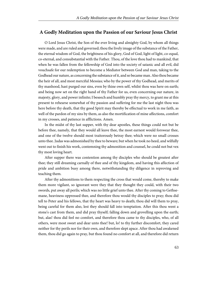#### **A Godly Meditation upon the Passion of our Saviour Jesus Christ**

O Lord Jesus Christ, the Son of the ever living and almighty God, by whom all things were made, and are ruled and governed; thou the lively image of the substance of the Father, the eternal wisdom of God, the brightness of his glory, God of God, light of light, co-equal, co-eternal, and consubstantial with the Father. Thou, of the love thou had to mankind, that when he was fallen from the fellowship of God into the society of satanic and all evil, did vouchsafe for our redemption to become a Mediator between God and man, taking to the Godhead our nature, as concerning the substance of it, and so became man. Also thou became the heir of all, and most merciful Messias; who by the power of thy Godhead, and merits of thy manhood, hast purged our sins, even by thine own self, whilst thou was here on earth; and being now set on the right hand of thy Father for us, even concerning our nature, in majesty, glory, and power infinite; I beseech and humbly pray thy mercy, to grant me at this present to rehearse somewhat of thy passion and suffering for me the last night thou was here before thy death, that thy good Spirit may thereby be effectual to work in me faith, as well of the pardon of my sins by them, as also the mortification of mine affections, comfort in my crosses, and patience in afflictions. Amen.

In the midst of thy last supper, with thy dear apostles, these things could not but be before thee, namely, that they would all leave thee, the most earnest would forswear thee, and one of the twelve should most traitorously betray thee; which were no small crosses unto thee. Judas was admonished by thee to beware; but when he took no heed, and wilfully went out to finish his work, contemning thy admonition and counsel, he could not but vex thy most loving heart.

After supper there was contention among thy disciples who should be greatest after thee; they still dreaming carnally of thee and of thy kingdom, and having this affection of pride and ambition busy among there, notwithstanding thy diligence in reproving and teaching them.

After thy admonitions to them respecting the cross that would come, thereby to make them more vigilant, so ignorant were they that they thought they could, with their two swords, put away all perils; which was no little grief unto thee. After thy coming to Gethsemane, heaviness oppressed thee, and therefore thou would thy disciples to pray; thou did tell to Peter and his fellows, that thy heart was heavy to death; thou did will them to pray, being careful for them also, lest they should fall into temptation. After this thou went a stone's cast from them, and did pray thyself; falling down and grovelling upon the earth; but, alas! thou did feel no comfort, and therefore thou came to thy disciples, who, of all others, were most sweet and dear unto thee! but, lo! to thy further discomfort, they cared neither for thy perils nor for their own, and therefore slept apace. After thou had awakened them, thou did go again to pray, but thou found no comfort at all, and therefore did return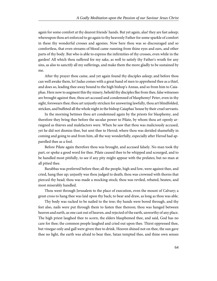again for some comfort at thy dearest friends' hands. But yet again, alas! they are fast asleep; whereupon thou art enforced to go again to thy heavenly Father for some sparkle of comfort in these thy wonderful crosses and agonies. Now here thou was so discouraged and so comfortless, that even streams of blood came running from thine eyes and ears, and other parts of thy body. But who is able to express the infirmities of thy crosses, even while in the garden! All which thou suffered for my sake, as well to satisfy thy Father's wrath for any sins, as also to sanctify all my sufferings, and make them the more gladly to be sustained by me.

After thy prayer thou came, and yet again found thy disciples asleep; and before thou can well awake them, lo! Judas comes with a great band of men to apprehend thee as a thief, and does so, leading thee away bound to the high bishop's Annas, and so from him to Caiaphas. Here now to augment this thy misery, behold thy disciples flee from thee, false witnesses are brought against thee, thou art accused and condemned of blasphemy! Peter, even in thy sight, forswears thee; thou art unjustly stricken for answering lawfully, thou art blindfolded, stricken, and buffeted all the whole night in the bishop Caiaphas' house by their cruel servants.

In the morning betimes thou art condemned again by the priests for blasphemy, and therefore they bring thee before the secular power to Pilate, by whom thou art openly arraigned as thieves and malefactors were. When he saw that thou was maliciously accused, yet he did not dismiss thee, but sent thee to Herod; where thou was derided shamefully in coming and going to and from him, all the way wonderfully, especially after Herod had apparelled thee as a fool.

Before Pilate again therefore thou was brought, and accused falsely. No man took thy part, or spoke a good word for thee. Pilate caused thee to be whipped and scourged, and to be handled most pitifully, to see if any pity might appear with the prelates; but no man at all pitied thee.

Barabbas was preferred before thee; all the people, high and low, were against thee, and cried, hang thee up; unjustly was thou judged to death; thou was crowned with thorns that pierced thy head; thou was made a mocking-stock; thou was reviled, rebated, beaten, and most miserably handled.

Thou went through Jerusalem to the place of execution, even the mount of Calvary; a great cross to hang thee was laid upon thy back; to bear and draw, as long as thou was able.

Thy body was racked to be nailed to the tree; thy hands were bored through, and thy feet also, nails were put through them to fasten thee thereon; thou was hanged between heaven and earth, as one cast out of heaven, and rejected of the earth, unworthy of any place. The high priest laughed thee to scorn, the elders blasphemed thee, and said, God has no care for thee; the common people laughed and cried out upon thee. Thirst oppressed thee, but vinegar only and gall were given thee to drink. Heaven shined not on thee, the sun gave thee no light, the earth was afraid to bear thee, Satan tempted thee, and thine own senses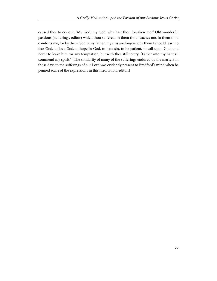caused thee to cry out, "My God, my God, why hast thou forsaken me?" Oh! wonderful passions (sufferings, editor) which thou suffered; in them thou teaches me, in them thou comforts me; for by them God is my father, my sins are forgiven; by them I should learn to fear God, to love God, to hope in God, to hate sin, to be patient, to call upon God, and never to leave him for any temptation, but with thee still to cry, "Father into thy hands I commend my spirit." (The similarity of many of the sufferings endured by the martyrs in those days to the sufferings of our Lord was evidently present to Bradford's mind when be penned some of the expressions in this meditation, editor.)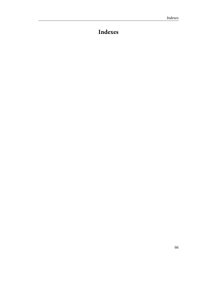# **Indexes**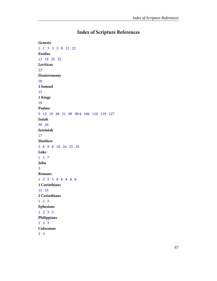## **Index of Scripture References**